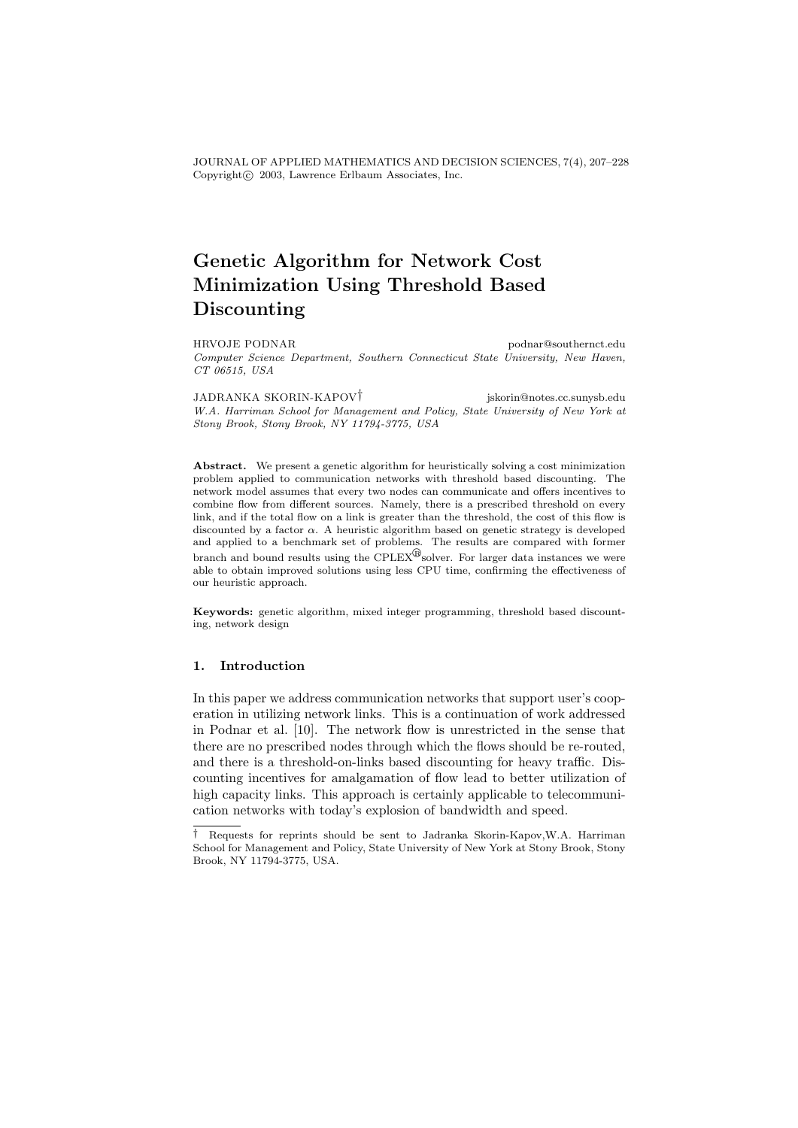JOURNAL OF APPLIED MATHEMATICS AND DECISION SCIENCES, 7(4), 207–228 Copyright (C) 2003, Lawrence Erlbaum Associates, Inc.

# Genetic Algorithm for Network Cost Minimization Using Threshold Based Discounting

HRVOJE PODNAR podnar@southernct.edu Computer Science Department, Southern Connecticut State University, New Haven, CT 06515, USA

JADRANKA SKORIN-KAPOV† jskorin@notes.cc.sunysb.edu W.A. Harriman School for Management and Policy, State University of New York at Stony Brook, Stony Brook, NY 11794-3775, USA

Abstract. We present a genetic algorithm for heuristically solving a cost minimization problem applied to communication networks with threshold based discounting. The network model assumes that every two nodes can communicate and offers incentives to combine flow from different sources. Namely, there is a prescribed threshold on every link, and if the total flow on a link is greater than the threshold, the cost of this flow is discounted by a factor  $\alpha$ . A heuristic algorithm based on genetic strategy is developed and applied to a benchmark set of problems. The results are compared with former branch and bound results using the  $\text{CPLEX}^{\textcircled{B}}$ solver. For larger data instances we were able to obtain improved solutions using less CPU time, confirming the effectiveness of our heuristic approach.

Keywords: genetic algorithm, mixed integer programming, threshold based discounting, network design

# 1. Introduction

In this paper we address communication networks that support user's cooperation in utilizing network links. This is a continuation of work addressed in Podnar et al. [10]. The network flow is unrestricted in the sense that there are no prescribed nodes through which the flows should be re-routed, and there is a threshold-on-links based discounting for heavy traffic. Discounting incentives for amalgamation of flow lead to better utilization of high capacity links. This approach is certainly applicable to telecommunication networks with today's explosion of bandwidth and speed.

<sup>†</sup> Requests for reprints should be sent to Jadranka Skorin-Kapov,W.A. Harriman School for Management and Policy, State University of New York at Stony Brook, Stony Brook, NY 11794-3775, USA.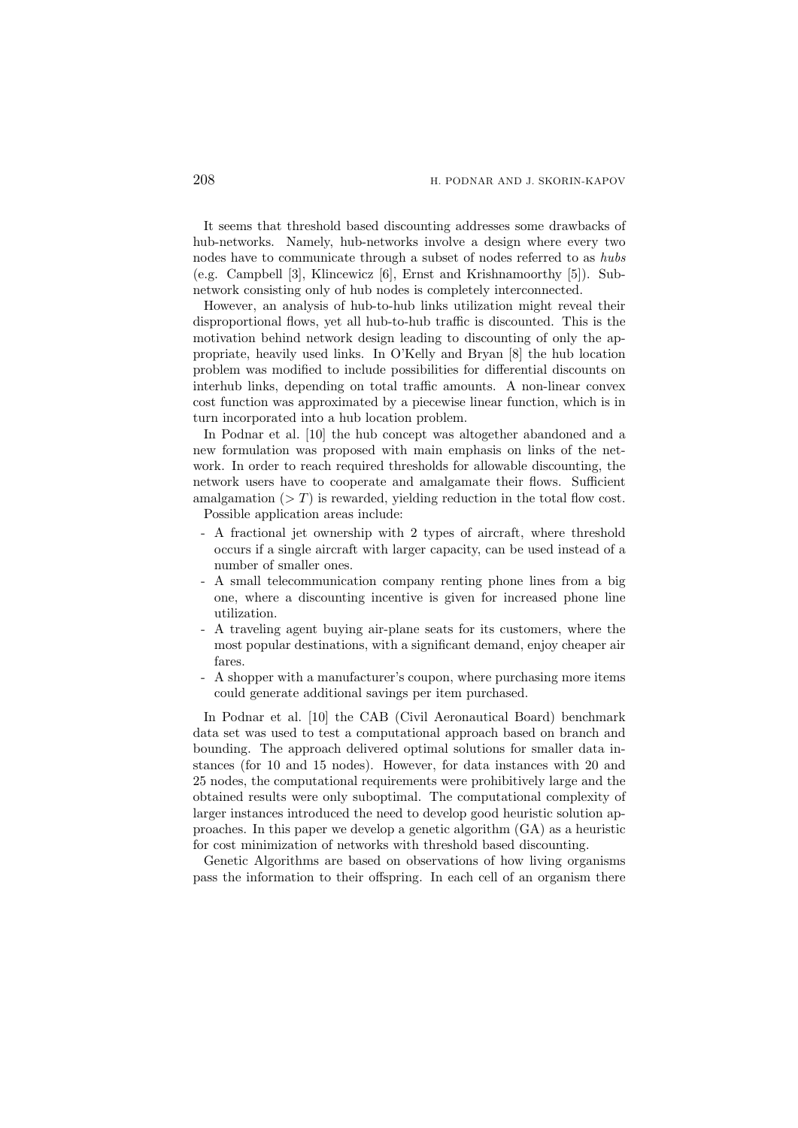It seems that threshold based discounting addresses some drawbacks of hub-networks. Namely, hub-networks involve a design where every two nodes have to communicate through a subset of nodes referred to as hubs (e.g. Campbell [3], Klincewicz [6], Ernst and Krishnamoorthy [5]). Subnetwork consisting only of hub nodes is completely interconnected.

However, an analysis of hub-to-hub links utilization might reveal their disproportional flows, yet all hub-to-hub traffic is discounted. This is the motivation behind network design leading to discounting of only the appropriate, heavily used links. In O'Kelly and Bryan [8] the hub location problem was modified to include possibilities for differential discounts on interhub links, depending on total traffic amounts. A non-linear convex cost function was approximated by a piecewise linear function, which is in turn incorporated into a hub location problem.

In Podnar et al. [10] the hub concept was altogether abandoned and a new formulation was proposed with main emphasis on links of the network. In order to reach required thresholds for allowable discounting, the network users have to cooperate and amalgamate their flows. Sufficient amalgamation  $(> T)$  is rewarded, yielding reduction in the total flow cost.

Possible application areas include:

- A fractional jet ownership with 2 types of aircraft, where threshold occurs if a single aircraft with larger capacity, can be used instead of a number of smaller ones.
- A small telecommunication company renting phone lines from a big one, where a discounting incentive is given for increased phone line utilization.
- A traveling agent buying air-plane seats for its customers, where the most popular destinations, with a significant demand, enjoy cheaper air fares.
- A shopper with a manufacturer's coupon, where purchasing more items could generate additional savings per item purchased.

In Podnar et al. [10] the CAB (Civil Aeronautical Board) benchmark data set was used to test a computational approach based on branch and bounding. The approach delivered optimal solutions for smaller data instances (for 10 and 15 nodes). However, for data instances with 20 and 25 nodes, the computational requirements were prohibitively large and the obtained results were only suboptimal. The computational complexity of larger instances introduced the need to develop good heuristic solution approaches. In this paper we develop a genetic algorithm (GA) as a heuristic for cost minimization of networks with threshold based discounting.

Genetic Algorithms are based on observations of how living organisms pass the information to their offspring. In each cell of an organism there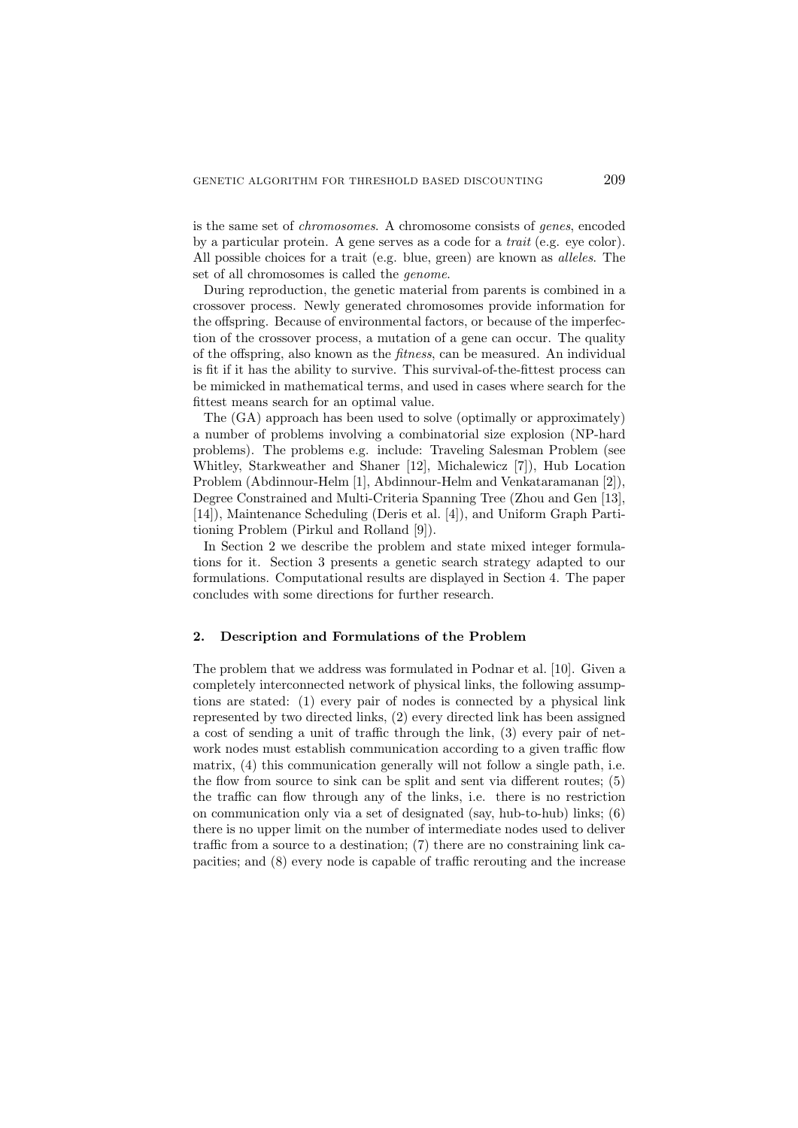is the same set of chromosomes. A chromosome consists of genes, encoded by a particular protein. A gene serves as a code for a trait (e.g. eye color). All possible choices for a trait (e.g. blue, green) are known as alleles. The set of all chromosomes is called the genome.

During reproduction, the genetic material from parents is combined in a crossover process. Newly generated chromosomes provide information for the offspring. Because of environmental factors, or because of the imperfection of the crossover process, a mutation of a gene can occur. The quality of the offspring, also known as the fitness, can be measured. An individual is fit if it has the ability to survive. This survival-of-the-fittest process can be mimicked in mathematical terms, and used in cases where search for the fittest means search for an optimal value.

The (GA) approach has been used to solve (optimally or approximately) a number of problems involving a combinatorial size explosion (NP-hard problems). The problems e.g. include: Traveling Salesman Problem (see Whitley, Starkweather and Shaner [12], Michalewicz [7]), Hub Location Problem (Abdinnour-Helm [1], Abdinnour-Helm and Venkataramanan [2]), Degree Constrained and Multi-Criteria Spanning Tree (Zhou and Gen [13], [14]), Maintenance Scheduling (Deris et al. [4]), and Uniform Graph Partitioning Problem (Pirkul and Rolland [9]).

In Section 2 we describe the problem and state mixed integer formulations for it. Section 3 presents a genetic search strategy adapted to our formulations. Computational results are displayed in Section 4. The paper concludes with some directions for further research.

#### 2. Description and Formulations of the Problem

The problem that we address was formulated in Podnar et al. [10]. Given a completely interconnected network of physical links, the following assumptions are stated: (1) every pair of nodes is connected by a physical link represented by two directed links, (2) every directed link has been assigned a cost of sending a unit of traffic through the link, (3) every pair of network nodes must establish communication according to a given traffic flow matrix, (4) this communication generally will not follow a single path, i.e. the flow from source to sink can be split and sent via different routes; (5) the traffic can flow through any of the links, i.e. there is no restriction on communication only via a set of designated (say, hub-to-hub) links; (6) there is no upper limit on the number of intermediate nodes used to deliver traffic from a source to a destination; (7) there are no constraining link capacities; and (8) every node is capable of traffic rerouting and the increase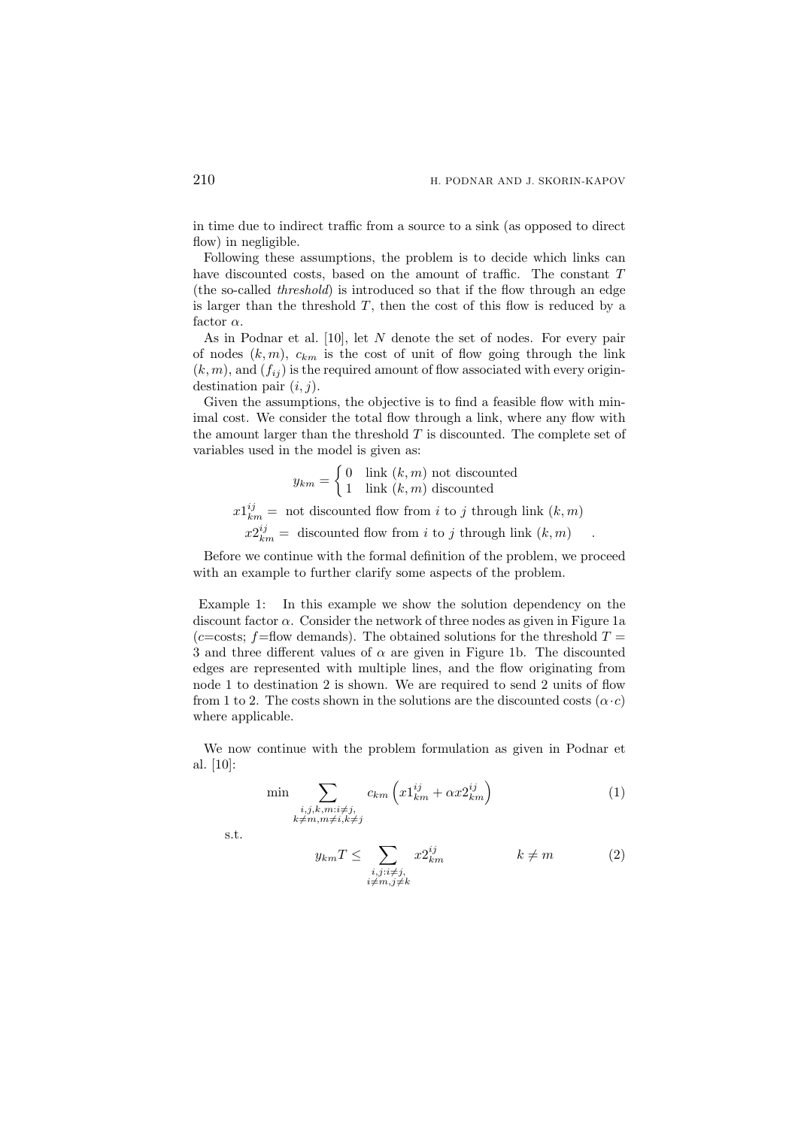in time due to indirect traffic from a source to a sink (as opposed to direct flow) in negligible.

Following these assumptions, the problem is to decide which links can have discounted costs, based on the amount of traffic. The constant T (the so-called threshold) is introduced so that if the flow through an edge is larger than the threshold  $T$ , then the cost of this flow is reduced by a factor  $\alpha$ .

As in Podnar et al. [10], let N denote the set of nodes. For every pair of nodes  $(k, m)$ ,  $c_{km}$  is the cost of unit of flow going through the link  $(k, m)$ , and  $(f_{ij})$  is the required amount of flow associated with every origindestination pair  $(i, j)$ .

Given the assumptions, the objective is to find a feasible flow with minimal cost. We consider the total flow through a link, where any flow with the amount larger than the threshold  $T$  is discounted. The complete set of variables used in the model is given as:

$$
y_{km} = \begin{cases} 0 & \text{link } (k,m) \text{ not discounted} \\ 1 & \text{link } (k,m) \text{ discounted} \end{cases}
$$

$$
x1_{km}^{ij} = \text{not discounted flow from } i \text{ to } j \text{ through link } (k,m)
$$

 $x2_{km}^{ij} =$  discounted flow from *i* to *j* through link  $(k, m)$ .

Before we continue with the formal definition of the problem, we proceed with an example to further clarify some aspects of the problem.

Example 1: In this example we show the solution dependency on the discount factor  $\alpha$ . Consider the network of three nodes as given in Figure 1a (c=costs; f=flow demands). The obtained solutions for the threshold  $T =$ 3 and three different values of  $\alpha$  are given in Figure 1b. The discounted edges are represented with multiple lines, and the flow originating from node 1 to destination 2 is shown. We are required to send 2 units of flow from 1 to 2. The costs shown in the solutions are the discounted costs  $(\alpha \cdot c)$ where applicable.

We now continue with the problem formulation as given in Podnar et al. [10]:

$$
\min \sum_{\substack{i,j,k,m:i\neq j,\\k\neq m,m\neq i,k\neq j}} c_{km} \left( x 1_{km}^{ij} + \alpha x 2_{km}^{ij} \right) \tag{1}
$$

s.t.

$$
y_{km}T \leq \sum_{\substack{i,j:i \neq j, \\ i \neq m,j \neq k}} x 2^{ij}_{km} \qquad k \neq m \qquad (2)
$$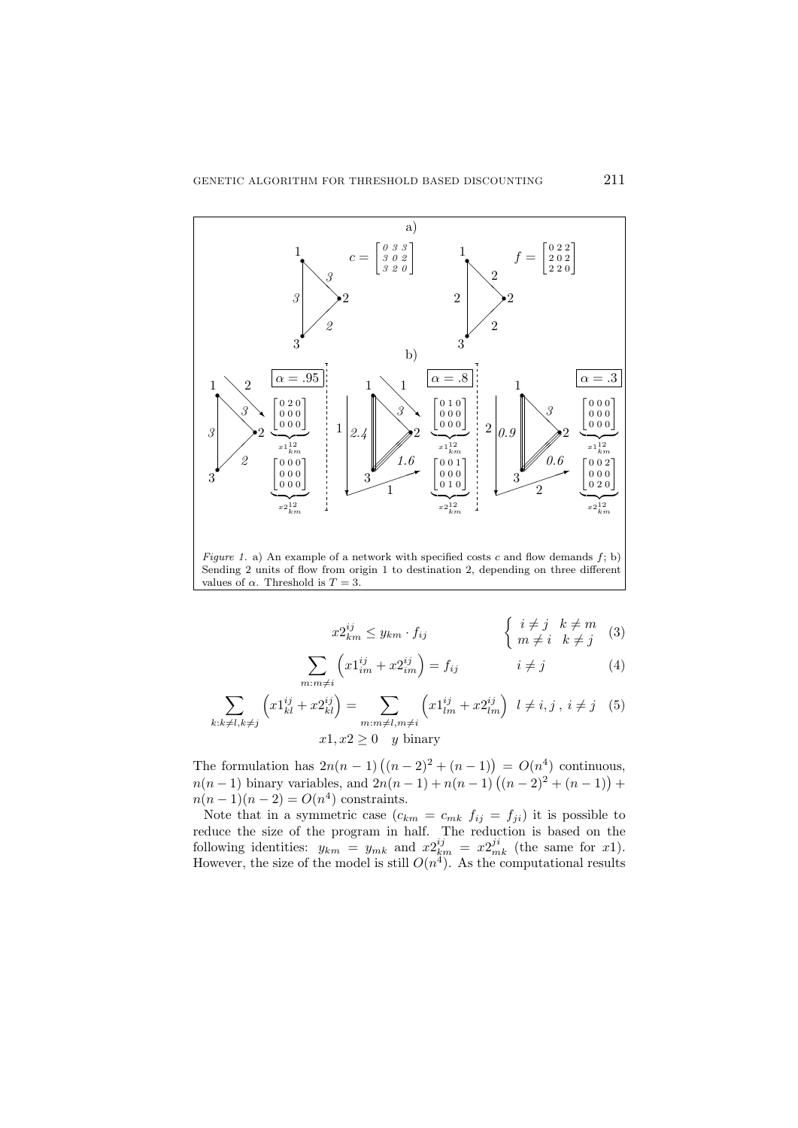

$$
x2_{km}^{ij} \leq y_{km} \cdot f_{ij} \qquad \qquad \begin{cases} i \neq j & k \neq m \\ m \neq i & k \neq j \end{cases} \quad (3)
$$

$$
\sum_{m:m \neq i} \left( x 1_{im}^{ij} + x 2_{im}^{ij} \right) = f_{ij} \qquad i \neq j \tag{4}
$$

$$
\sum_{k:k\neq l,k\neq j} \left(x1^{ij}_{kl} + x2^{ij}_{kl}\right) = \sum_{\substack{m:m\neq l,m\neq i \\ x1, x2 \ge 0}} \left(x1^{ij}_{lm} + x2^{ij}_{lm}\right) \ l \neq i, j, i \neq j \quad (5)
$$

The formulation has  $2n(n-1)((n-2)^2+(n-1)) = O(n^4)$  continuous,  $n(n-1)$  binary variables, and  $2n(n-1) + n(n-1) ((n-2)^2 + (n-1)) +$  $n(n-1)(n-2) = O(n^4)$  constraints.

Note that in a symmetric case  $(c_{km} = c_{mk} f_{ij} = f_{ji})$  it is possible to reduce the size of the program in half. The reduction is based on the following identities:  $y_{km} = y_{mk}$  and  $x_{km}^{2j} = x_{mk}^{2j}$  (the same for x1). However, the size of the model is still  $O(n^4)$ . As the computational results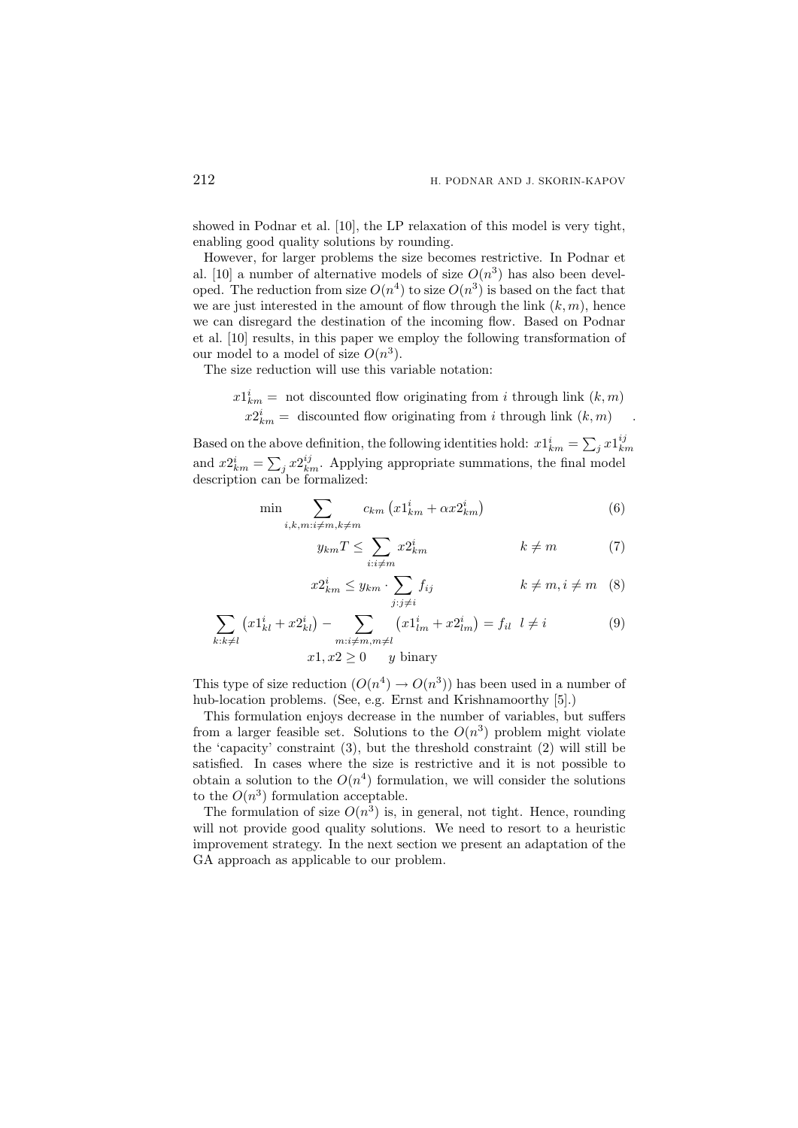showed in Podnar et al. [10], the LP relaxation of this model is very tight, enabling good quality solutions by rounding.

However, for larger problems the size becomes restrictive. In Podnar et al. [10] a number of alternative models of size  $O(n^3)$  has also been developed. The reduction from size  $O(n^4)$  to size  $O(n^3)$  is based on the fact that we are just interested in the amount of flow through the link  $(k, m)$ , hence we can disregard the destination of the incoming flow. Based on Podnar et al. [10] results, in this paper we employ the following transformation of our model to a model of size  $O(n^3)$ .

The size reduction will use this variable notation:

$$
x1_{km}^i
$$
 = not discounted flow originating from *i* through link  $(k, m)$   
 $x2_{km}^i$  = discounted flow originating from *i* through link  $(k, m)$ 

Based on the above definition, the following identities hold:  $x1_{km}^i = \sum_j x1_{km}^{ij}$ and  $x2_{km}^i = \sum_j x2_{km}^{ij}$ . Applying appropriate summations, the final model description can be formalized:

$$
\min \sum_{i,k,m:i \neq m,k \neq m} c_{km} \left( x 1_{km}^i + \alpha x 2_{km}^i \right) \tag{6}
$$

$$
y_{km}T \le \sum_{i:i \ne m} x 2^i_{km} \qquad k \ne m \qquad (7)
$$

$$
x2_{km}^i \leq y_{km} \cdot \sum_{j:j \neq i} f_{ij} \qquad k \neq m, i \neq m \quad (8)
$$

$$
\sum_{k:k\neq l} (x1_{kl}^i + x2_{kl}^i) - \sum_{m:i\neq m, m\neq l} (x1_{lm}^i + x2_{lm}^i) = f_{il} \ \ l \neq i \tag{9}
$$

$$
x1, x2 \ge 0 \qquad y \text{ binary}
$$

This type of size reduction  $(O(n^4) \to O(n^3))$  has been used in a number of hub-location problems. (See, e.g. Ernst and Krishnamoorthy [5].)

This formulation enjoys decrease in the number of variables, but suffers from a larger feasible set. Solutions to the  $O(n^3)$  problem might violate the 'capacity' constraint (3), but the threshold constraint (2) will still be satisfied. In cases where the size is restrictive and it is not possible to obtain a solution to the  $O(n^4)$  formulation, we will consider the solutions to the  $O(n^3)$  formulation acceptable.

The formulation of size  $O(n^3)$  is, in general, not tight. Hence, rounding will not provide good quality solutions. We need to resort to a heuristic improvement strategy. In the next section we present an adaptation of the GA approach as applicable to our problem.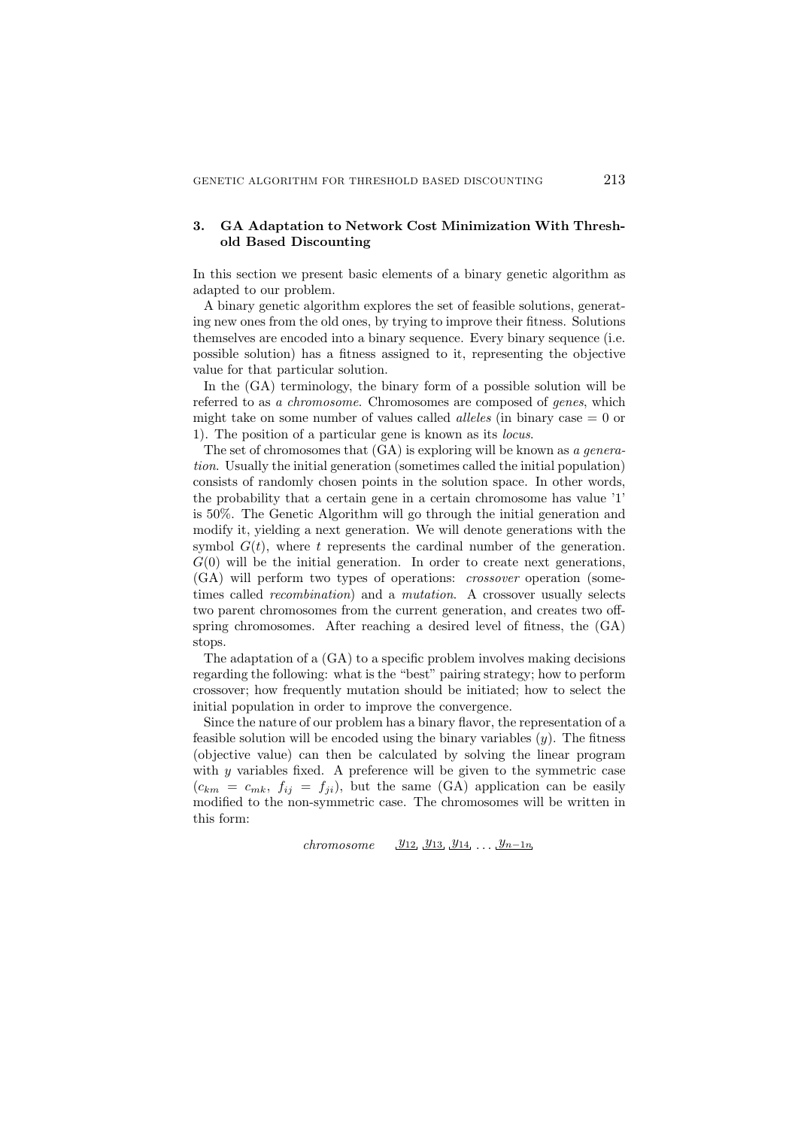# 3. GA Adaptation to Network Cost Minimization With Threshold Based Discounting

In this section we present basic elements of a binary genetic algorithm as adapted to our problem.

A binary genetic algorithm explores the set of feasible solutions, generating new ones from the old ones, by trying to improve their fitness. Solutions themselves are encoded into a binary sequence. Every binary sequence (i.e. possible solution) has a fitness assigned to it, representing the objective value for that particular solution.

In the (GA) terminology, the binary form of a possible solution will be referred to as a *chromosome*. Chromosomes are composed of *genes*, which might take on some number of values called *alleles* (in binary case  $= 0$  or 1). The position of a particular gene is known as its locus.

The set of chromosomes that  $(GA)$  is exploring will be known as a generation. Usually the initial generation (sometimes called the initial population) consists of randomly chosen points in the solution space. In other words, the probability that a certain gene in a certain chromosome has value '1' is 50%. The Genetic Algorithm will go through the initial generation and modify it, yielding a next generation. We will denote generations with the symbol  $G(t)$ , where t represents the cardinal number of the generation.  $G(0)$  will be the initial generation. In order to create next generations, (GA) will perform two types of operations: crossover operation (sometimes called *recombination*) and a *mutation*. A crossover usually selects two parent chromosomes from the current generation, and creates two offspring chromosomes. After reaching a desired level of fitness, the (GA) stops.

The adaptation of a (GA) to a specific problem involves making decisions regarding the following: what is the "best" pairing strategy; how to perform crossover; how frequently mutation should be initiated; how to select the initial population in order to improve the convergence.

Since the nature of our problem has a binary flavor, the representation of a feasible solution will be encoded using the binary variables  $(y)$ . The fitness (objective value) can then be calculated by solving the linear program with  $y$  variables fixed. A preference will be given to the symmetric case  $(c_{km} = c_{mk}, f_{ij} = f_{ji})$ , but the same (GA) application can be easily modified to the non-symmetric case. The chromosomes will be written in this form:

chromosome  $y_{12}, y_{13}, y_{14}, \ldots, y_{n-1n}$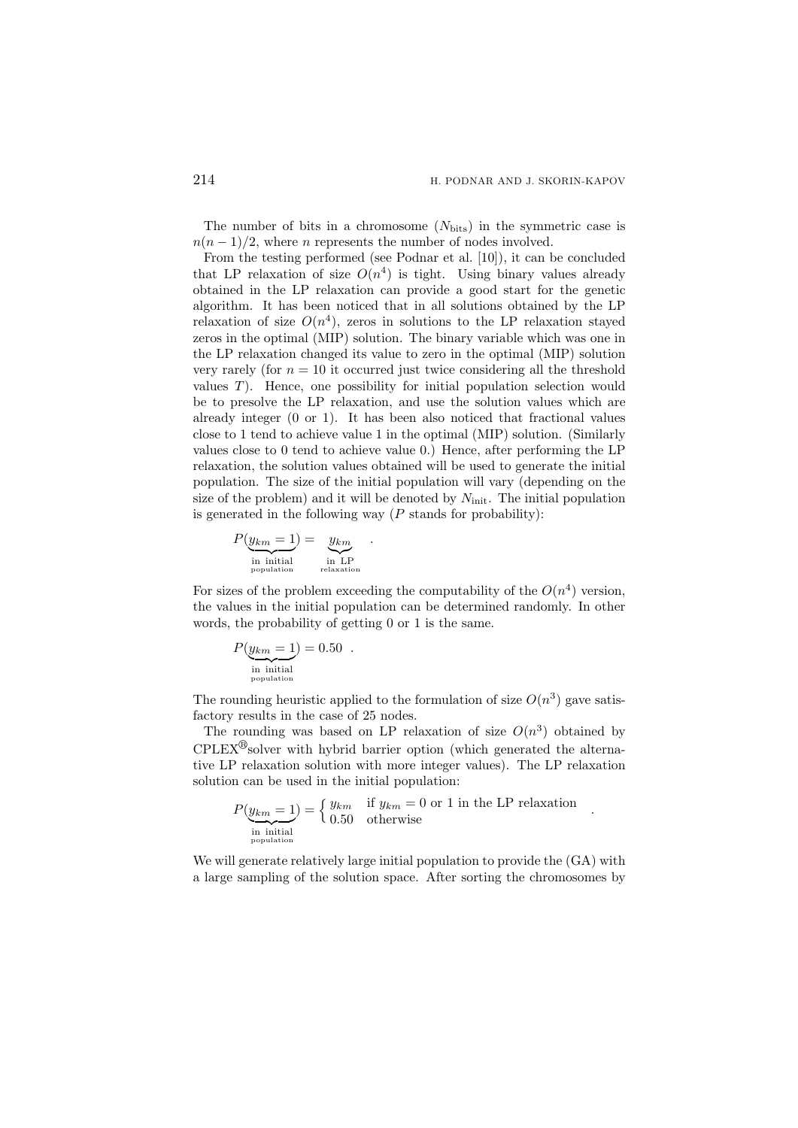The number of bits in a chromosome  $(N_{\text{bits}})$  in the symmetric case is  $n(n-1)/2$ , where *n* represents the number of nodes involved.

From the testing performed (see Podnar et al. [10]), it can be concluded that LP relaxation of size  $O(n^4)$  is tight. Using binary values already obtained in the LP relaxation can provide a good start for the genetic algorithm. It has been noticed that in all solutions obtained by the LP relaxation of size  $O(n^4)$ , zeros in solutions to the LP relaxation stayed zeros in the optimal (MIP) solution. The binary variable which was one in the LP relaxation changed its value to zero in the optimal (MIP) solution very rarely (for  $n = 10$  it occurred just twice considering all the threshold values T). Hence, one possibility for initial population selection would be to presolve the LP relaxation, and use the solution values which are already integer (0 or 1). It has been also noticed that fractional values close to 1 tend to achieve value 1 in the optimal (MIP) solution. (Similarly values close to 0 tend to achieve value 0.) Hence, after performing the LP relaxation, the solution values obtained will be used to generate the initial population. The size of the initial population will vary (depending on the size of the problem) and it will be denoted by  $N_{\text{init}}$ . The initial population is generated in the following way  $(P \text{ stands for probability})$ :

$$
P(\underbrace{y_{km}=1}_{\substack{\text{in initial} \\ \text{population}}} = \underbrace{y_{km}}_{\substack{\text{in LP} \\ \text{relaxation}}}.
$$

For sizes of the problem exceeding the computability of the  $O(n^4)$  version, the values in the initial population can be determined randomly. In other words, the probability of getting 0 or 1 is the same.

$$
P(\underbrace{y_{km} = 1}_{\substack{\text{in initial} \\ \text{population}}} = 0.50.
$$

The rounding heuristic applied to the formulation of size  $O(n^3)$  gave satisfactory results in the case of 25 nodes.

The rounding was based on LP relaxation of size  $O(n^3)$  obtained by  $\text{CPLEX}^{\circledR}$ solver with hybrid barrier option (which generated the alternative LP relaxation solution with more integer values). The LP relaxation solution can be used in the initial population:

$$
P(\underline{y_{km} = 1}) = \begin{cases} y_{km} & \text{if } y_{km} = 0 \text{ or } 1 \text{ in the LP relaxation} \\ 0.50 & \text{otherwise} \end{cases}
$$

.

We will generate relatively large initial population to provide the (GA) with a large sampling of the solution space. After sorting the chromosomes by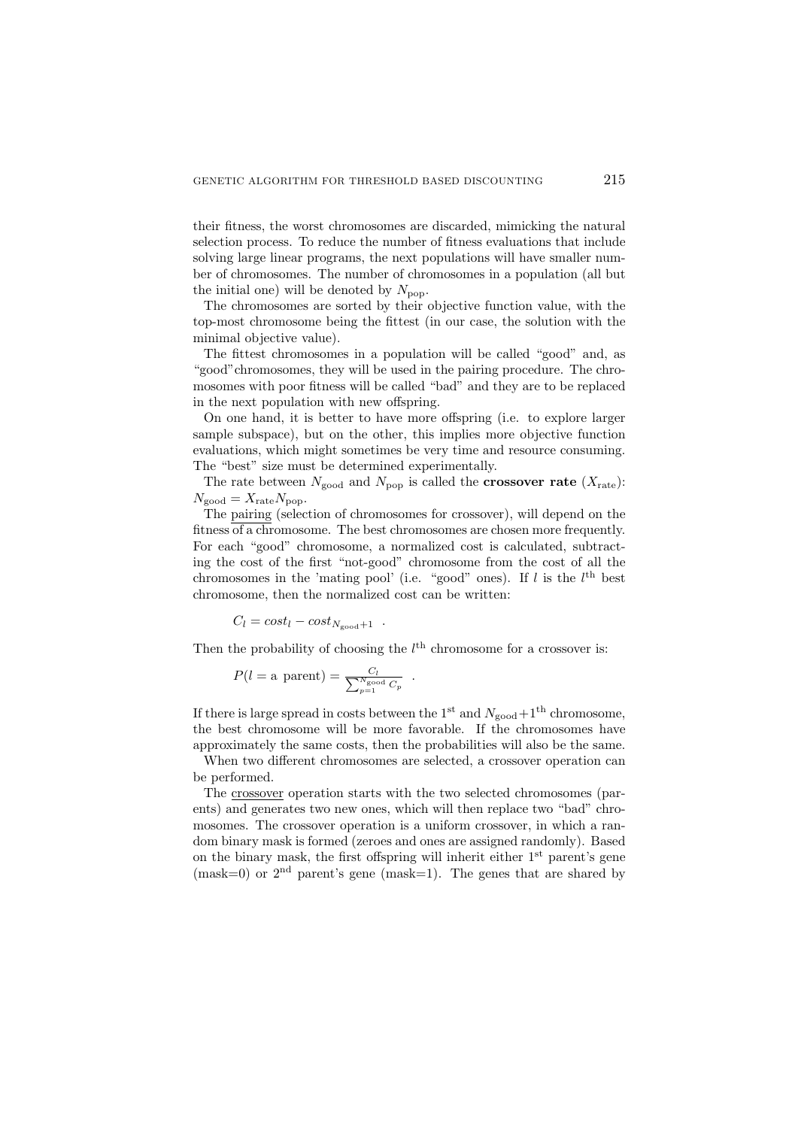their fitness, the worst chromosomes are discarded, mimicking the natural selection process. To reduce the number of fitness evaluations that include solving large linear programs, the next populations will have smaller number of chromosomes. The number of chromosomes in a population (all but the initial one) will be denoted by  $N_{\text{pop}}$ .

The chromosomes are sorted by their objective function value, with the top-most chromosome being the fittest (in our case, the solution with the minimal objective value).

The fittest chromosomes in a population will be called "good" and, as "good"chromosomes, they will be used in the pairing procedure. The chromosomes with poor fitness will be called "bad" and they are to be replaced in the next population with new offspring.

On one hand, it is better to have more offspring (i.e. to explore larger sample subspace), but on the other, this implies more objective function evaluations, which might sometimes be very time and resource consuming. The "best" size must be determined experimentally.

The rate between  $N_{\text{good}}$  and  $N_{\text{pop}}$  is called the **crossover rate**  $(X_{\text{rate}})$ :  $N_{\text{good}} = X_{\text{rate}} N_{\text{pop}}.$ 

The pairing (selection of chromosomes for crossover), will depend on the fitness of a chromosome. The best chromosomes are chosen more frequently. For each "good" chromosome, a normalized cost is calculated, subtracting the cost of the first "not-good" chromosome from the cost of all the chromosomes in the 'mating pool' (i.e. "good" ones). If  $l$  is the  $l<sup>th</sup>$  best chromosome, then the normalized cost can be written:

$$
C_l = cost_l - cost_{N_{\text{good}}+1} .
$$

Then the probability of choosing the  $l<sup>th</sup>$  chromosome for a crossover is:

$$
P(l = \text{a parent}) = \frac{C_l}{\sum_{p=1}^{N_{\text{good}}} C_p} .
$$

If there is large spread in costs between the 1<sup>st</sup> and  $N_{good}+1$ <sup>th</sup> chromosome, the best chromosome will be more favorable. If the chromosomes have approximately the same costs, then the probabilities will also be the same.

When two different chromosomes are selected, a crossover operation can be performed.

The crossover operation starts with the two selected chromosomes (parents) and generates two new ones, which will then replace two "bad" chromosomes. The crossover operation is a uniform crossover, in which a random binary mask is formed (zeroes and ones are assigned randomly). Based on the binary mask, the first offspring will inherit either  $1<sup>st</sup>$  parent's gene (mask=0) or  $2<sup>nd</sup>$  parent's gene (mask=1). The genes that are shared by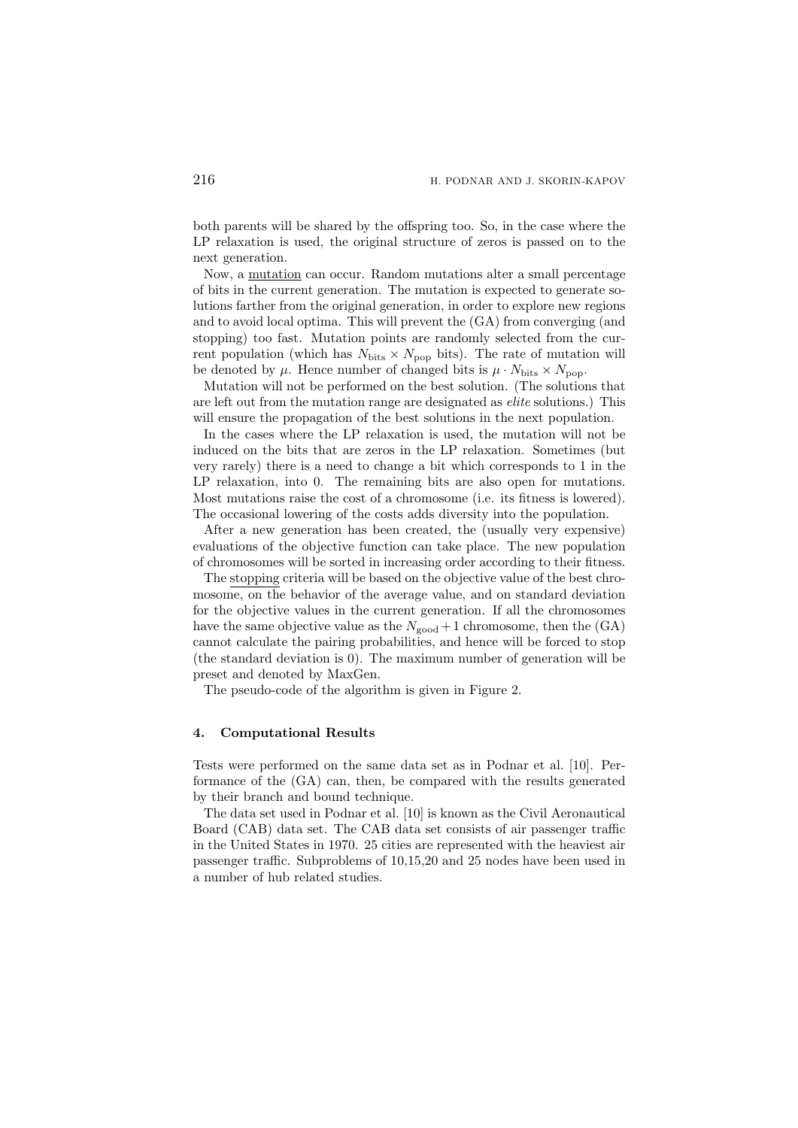both parents will be shared by the offspring too. So, in the case where the LP relaxation is used, the original structure of zeros is passed on to the next generation.

Now, a mutation can occur. Random mutations alter a small percentage of bits in the current generation. The mutation is expected to generate solutions farther from the original generation, in order to explore new regions and to avoid local optima. This will prevent the (GA) from converging (and stopping) too fast. Mutation points are randomly selected from the current population (which has  $N_{\text{bits}} \times N_{\text{pop}}$  bits). The rate of mutation will be denoted by  $\mu$ . Hence number of changed bits is  $\mu \cdot N_{\text{bits}} \times N_{\text{pop}}$ .

Mutation will not be performed on the best solution. (The solutions that are left out from the mutation range are designated as elite solutions.) This will ensure the propagation of the best solutions in the next population.

In the cases where the LP relaxation is used, the mutation will not be induced on the bits that are zeros in the LP relaxation. Sometimes (but very rarely) there is a need to change a bit which corresponds to 1 in the LP relaxation, into 0. The remaining bits are also open for mutations. Most mutations raise the cost of a chromosome (i.e. its fitness is lowered). The occasional lowering of the costs adds diversity into the population.

After a new generation has been created, the (usually very expensive) evaluations of the objective function can take place. The new population of chromosomes will be sorted in increasing order according to their fitness.

The stopping criteria will be based on the objective value of the best chromosome, on the behavior of the average value, and on standard deviation for the objective values in the current generation. If all the chromosomes have the same objective value as the  $N_{\text{good}}+1$  chromosome, then the  $(GA)$ cannot calculate the pairing probabilities, and hence will be forced to stop (the standard deviation is 0). The maximum number of generation will be preset and denoted by MaxGen.

The pseudo-code of the algorithm is given in Figure 2.

## 4. Computational Results

Tests were performed on the same data set as in Podnar et al. [10]. Performance of the (GA) can, then, be compared with the results generated by their branch and bound technique.

The data set used in Podnar et al. [10] is known as the Civil Aeronautical Board (CAB) data set. The CAB data set consists of air passenger traffic in the United States in 1970. 25 cities are represented with the heaviest air passenger traffic. Subproblems of 10,15,20 and 25 nodes have been used in a number of hub related studies.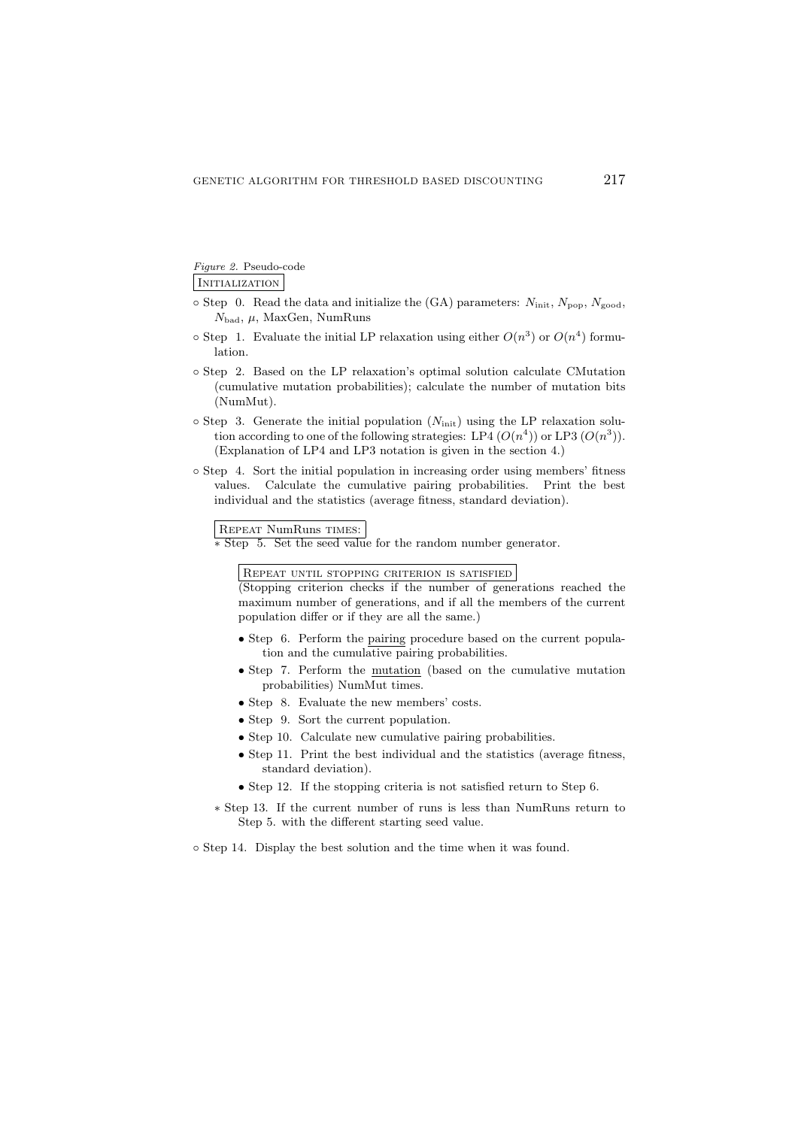Figure 2. Pseudo-code

INITIALIZATION

- $\circ$  Step 0. Read the data and initialize the (GA) parameters:  $N_{\text{init}}, N_{\text{pop}}, N_{\text{good}},$  $N_{bad}$ ,  $\mu$ , MaxGen, NumRuns
- $\circ$  Step 1. Evaluate the initial LP relaxation using either  $O(n^3)$  or  $O(n^4)$  formulation.
- Step 2. Based on the LP relaxation's optimal solution calculate CMutation (cumulative mutation probabilities); calculate the number of mutation bits (NumMut).
- $\circ$  Step 3. Generate the initial population  $(N_{init})$  using the LP relaxation solution according to one of the following strategies: LP4  $(O(n^4))$  or LP3  $(O(n^3))$ . (Explanation of LP4 and LP3 notation is given in the section 4.)
- Step 4. Sort the initial population in increasing order using members' fitness values. Calculate the cumulative pairing probabilities. Print the best individual and the statistics (average fitness, standard deviation).

Repeat NumRuns times:

∗ Step 5. Set the seed value for the random number generator.

Repeat until stopping criterion is satisfied

(Stopping criterion checks if the number of generations reached the maximum number of generations, and if all the members of the current population differ or if they are all the same.)

- Step 6. Perform the pairing procedure based on the current population and the cumulative pairing probabilities.
- Step 7. Perform the mutation (based on the cumulative mutation probabilities) NumMut times.
- Step 8. Evaluate the new members' costs.
- Step 9. Sort the current population.
- Step 10. Calculate new cumulative pairing probabilities.
- Step 11. Print the best individual and the statistics (average fitness, standard deviation).
- Step 12. If the stopping criteria is not satisfied return to Step 6.
- ∗ Step 13. If the current number of runs is less than NumRuns return to Step 5. with the different starting seed value.

◦ Step 14. Display the best solution and the time when it was found.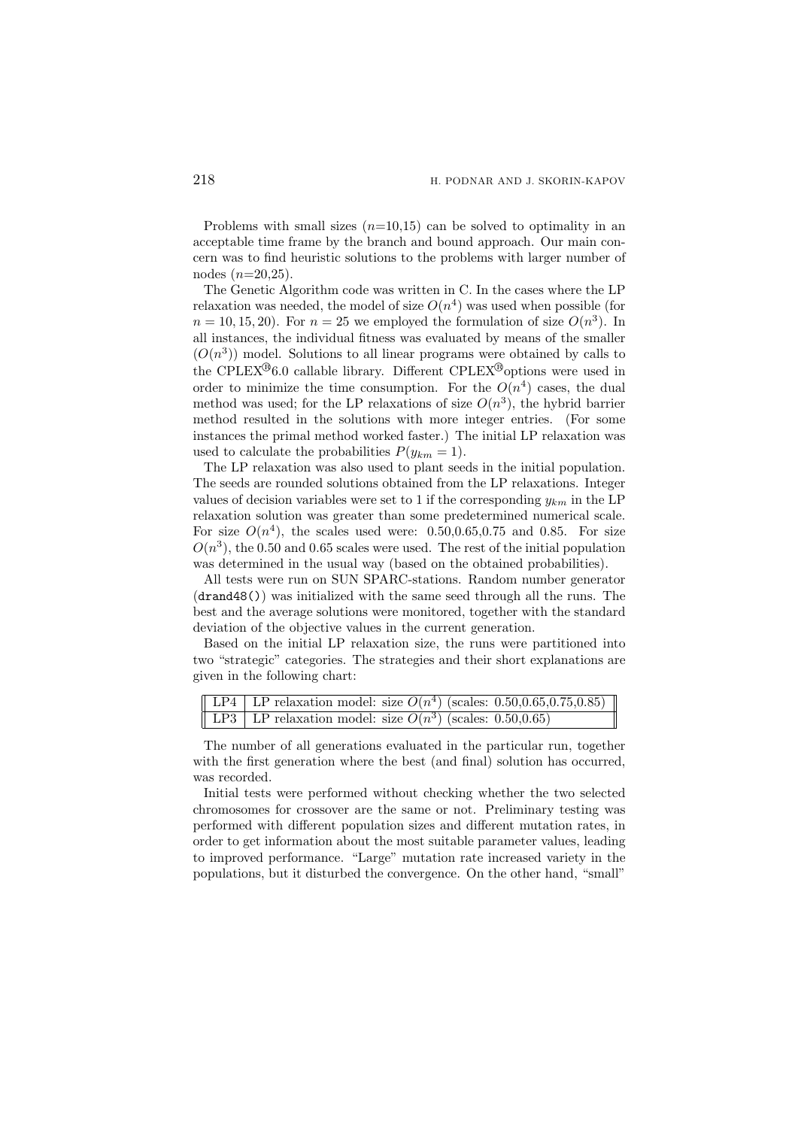Problems with small sizes  $(n=10,15)$  can be solved to optimality in an acceptable time frame by the branch and bound approach. Our main concern was to find heuristic solutions to the problems with larger number of nodes  $(n=20.25)$ .

The Genetic Algorithm code was written in C. In the cases where the LP relaxation was needed, the model of size  $O(n^4)$  was used when possible (for  $n = 10, 15, 20$ . For  $n = 25$  we employed the formulation of size  $O(n^3)$ . In all instances, the individual fitness was evaluated by means of the smaller  $(O(n^3))$  model. Solutions to all linear programs were obtained by calls to the CPLEX<sup>®</sup>6.0 callable library. Different CPLEX<sup>®</sup>options were used in order to minimize the time consumption. For the  $O(n^4)$  cases, the dual method was used; for the LP relaxations of size  $O(n^3)$ , the hybrid barrier method resulted in the solutions with more integer entries. (For some instances the primal method worked faster.) The initial LP relaxation was used to calculate the probabilities  $P(y_{km} = 1)$ .

The LP relaxation was also used to plant seeds in the initial population. The seeds are rounded solutions obtained from the LP relaxations. Integer values of decision variables were set to 1 if the corresponding  $y_{km}$  in the LP relaxation solution was greater than some predetermined numerical scale. For size  $O(n^4)$ , the scales used were: 0.50,0.65,0.75 and 0.85. For size  $O(n^3)$ , the 0.50 and 0.65 scales were used. The rest of the initial population was determined in the usual way (based on the obtained probabilities).

All tests were run on SUN SPARC-stations. Random number generator (drand48()) was initialized with the same seed through all the runs. The best and the average solutions were monitored, together with the standard deviation of the objective values in the current generation.

Based on the initial LP relaxation size, the runs were partitioned into two "strategic" categories. The strategies and their short explanations are given in the following chart:

| LP4   LP relaxation model: size $O(n^4)$ (scales: 0.50,0.65,0.75,0.85) |
|------------------------------------------------------------------------|
| LP3   LP relaxation model: size $O(n^3)$ (scales: 0.50,0.65)           |

The number of all generations evaluated in the particular run, together with the first generation where the best (and final) solution has occurred, was recorded.

Initial tests were performed without checking whether the two selected chromosomes for crossover are the same or not. Preliminary testing was performed with different population sizes and different mutation rates, in order to get information about the most suitable parameter values, leading to improved performance. "Large" mutation rate increased variety in the populations, but it disturbed the convergence. On the other hand, "small"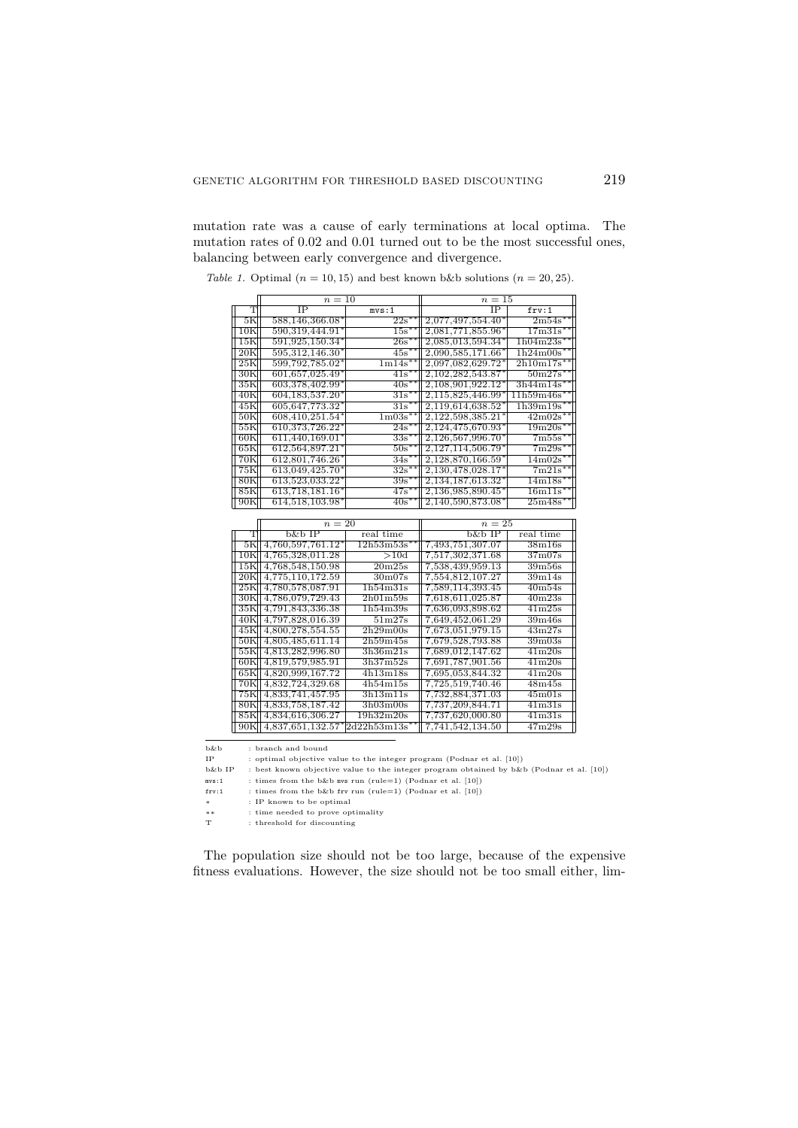mutation rate was a cause of early terminations at local optima. The mutation rates of 0.02 and 0.01 turned out to be the most successful ones, balancing between early convergence and divergence.

|     | $n=10$             |                              | $n=15$                |                               |  |
|-----|--------------------|------------------------------|-----------------------|-------------------------------|--|
| Т   | $_{\rm IP}$        | mvs:1                        | TΡ                    | frv:1                         |  |
| 5K  | 588,146,366.08*    | $22s***$                     | 2,077,497,554.40*     | $2m54s***$                    |  |
| 10K | 590, 319, 444. 91* | $\overline{15s}^{**}$        | 2,081,771,855.96*     | $17m31s**$                    |  |
| 15K | 591.925,150.34*    | $26s***$                     | 2,085,013,594.34*     | $1h04m23s***$                 |  |
| 20K | 595, 312, 146. 30* | $45s^*$                      | 2,090,585,171.66*     | $1h24m00s***$                 |  |
| 25K | 599,792,785.02*    | $1m14s**$                    | 2,097,082,629.72*     | $2h10m17s***$                 |  |
| 30K | 601,657,025.49*    | $41s**$                      | 2,102,282,543.87*     | $50 \text{m}27 \text{s}^{**}$ |  |
| 35K | 603,378,402.99*    | $40s**$                      | 2,108,901,922.12*     | $3h44m14s**$                  |  |
| 40K | $604,183,537.20*$  | $31s***$                     | 2,115,825,446.99*     | $11h59m46s***$                |  |
| 45K | 605,647,773.32*    | $31s***$                     | 2,119,614,638.52*     | $1h39m19s***$                 |  |
| 50K | 608,410,251.54*    | $1 \text{m}03 \text{s}^{**}$ | 2,122,598,385.21      | $42 \text{m}02 \text{s}^{**}$ |  |
| 55K | 610, 373, 726. 22* | $24\mathrm{s}^{**}$          | 2, 124, 475, 670. 93* | $19m20s**$                    |  |
| 60K | 611,440,169.01*    | $33s^{**}$                   | 2,126,567,996.70*     | $7m55s***$                    |  |
| 65K | 612.564.897.21*    | $50s***$                     | 2,127,114,506.79*     | $7m29s***$                    |  |
| 70K | 612,801,746.26*    | $34s***$                     | 2,128,870,166.59*     | $14m02s**$                    |  |
| 75K | 613,049,425.70*    | $32s**$                      | 2,130,478,028.17*     | $7m21s***$                    |  |
| 80K | 613.523.033.22*    | $39s***$                     | 2, 134, 187, 613. 32* | $14m18s***$                   |  |
| 85K | 613,718,181.16*    | $47s***$                     | 2,136,985,890.45*     | $16m11s**$                    |  |
| 90K | 614,518,103.98*    | $40s***$                     | 2,140,590,873.08*     | $25m48s***$                   |  |
|     |                    |                              |                       |                               |  |
|     | $n=20$             |                              | $n=25$                |                               |  |
| गा  | <u>ኬ</u> ሪኮ IP     | real time                    | հ&հ IP                | real time                     |  |

Table 1. Optimal ( $n = 10, 15$ ) and best known b&b solutions ( $n = 20, 25$ ).

|                | $n=20$                           |                                             | $n=25$           |                                 |
|----------------|----------------------------------|---------------------------------------------|------------------|---------------------------------|
|                | b&b IP                           | real time                                   | b&b IP           | real time                       |
| 5K             | 4,760,597,761.12*                | $12\mathrm{h}53\mathrm{m}53\mathrm{s}^{**}$ | 7,493,751,307.07 | 38m16s                          |
| $10\mathrm{K}$ | 4,765,328,011.28                 | >10d                                        | 7,517,302,371.68 | 37 <sub>m</sub> 07 <sub>s</sub> |
| 15K            | 4,768,548,150.98                 | 20m25s                                      | 7,538,439,959.13 | 39 <sub>m56s</sub>              |
| 20K            | 4,775,110,172.59                 | 30 <sub>m</sub> 0 <sub>7s</sub>             | 7,554,812,107.27 | 39m14s                          |
| $25\mathrm{K}$ | 4,780,578,087.91                 | 1h54m31s                                    | 7,589,114,393.45 | 40m54s                          |
| 30K            | 4.786.079.729.43                 | 2h01m59s                                    | 7.618.611.025.87 | 40m23s                          |
| 35K            | 4,791,843,336.38                 | 1h54m39s                                    | 7.636.093.898.62 | 41m25s                          |
| 40K            | 4,797,828,016.39                 | 51m27s                                      | 7,649,452,061.29 | 39m46s                          |
| 45K            | 4,800,278,554.55                 | 2h29m00s                                    | 7,673,051,979.15 | 43m27s                          |
| 50K            | 4,805,485,611.14                 | 2h59m45s                                    | 7,679,528,793.88 | 39 <sub>m</sub> 03 <sub>s</sub> |
| 55K            | 4,813,282,996.80                 | 3h36m21s                                    | 7,689,012,147.62 | 41m20s                          |
| 60K            | 4,819,579,985.91                 | 3h37m52s                                    | 7,691,787,901.56 | 41m20s                          |
| $65\mathrm{K}$ | 4,820,999,167.72                 | 4h13m18s                                    | 7,695,053,844.32 | 41 <sub>m20s</sub>              |
| 70K            | 4.832.724.329.68                 | 4h54m15s                                    | 7.725.519.740.46 | 48m45s                          |
| 75K            | 4,833,741,457.95                 | 3h13m11s                                    | 7,732,884,371.03 | 45m01s                          |
| 80K            | 4,833,758,187.42                 | 3h03m00s                                    | 7,737,209,844.71 | 41 <sub>m31s</sub>              |
| 85K            | 4,834,616,306.27                 | 19h32m20s                                   | 7,737,620,000.80 | 41 <sub>m31s</sub>              |
| 90KII          | $4,837,651,132.57*2d22h53m13s**$ |                                             | 7.741.542.134.50 | 47m29s                          |

b&b : branch and bound<br>IP : optimal objective optimal objective value to the integer program (Podnar et al. [10])

b&b IP : best known objective value to the integer program obtained by b&b (Podnar et al. [10])

mvs:1 : times from the b&b mvs run (rule=1) (Podnar et al. [10])

frv:1 : times from the b&b frv run (rule=1) (Podnar et al.  $[10]$ )

∗ : IP known to be optimal ∗∗ : time needed to prove optimality

T : threshold for discounting

The population size should not be too large, because of the expensive fitness evaluations. However, the size should not be too small either, lim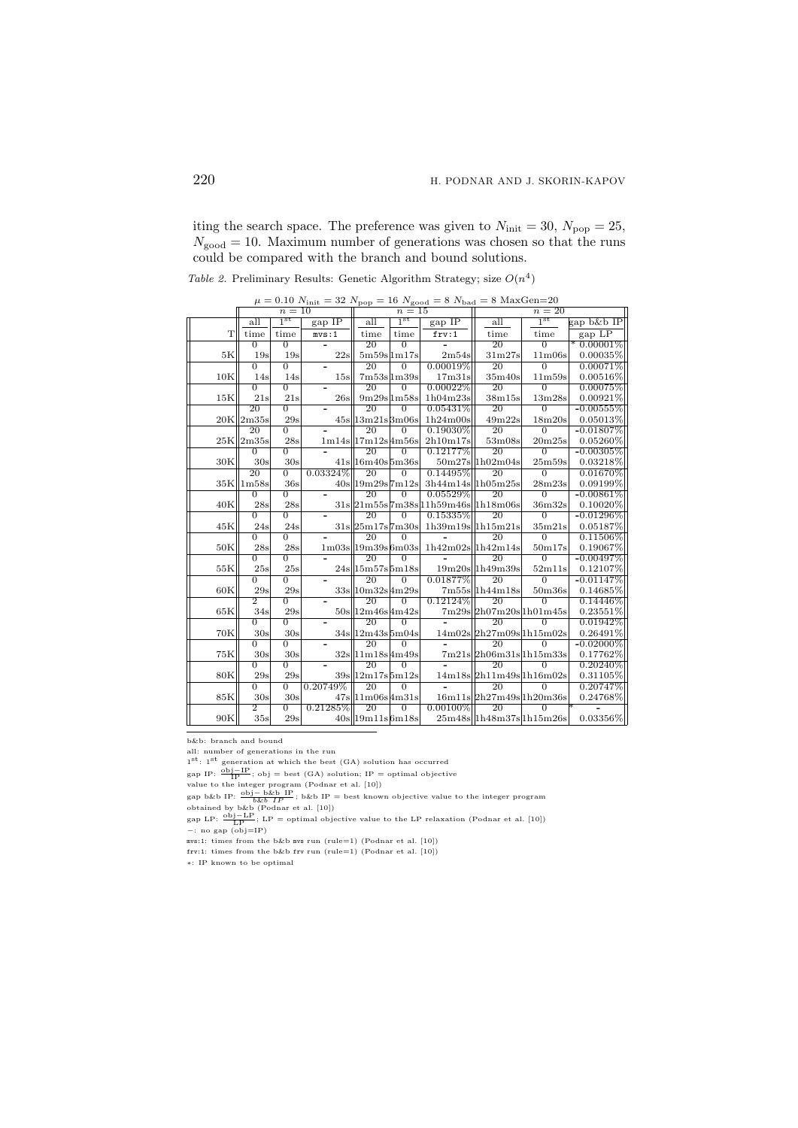iting the search space. The preference was given to  $N_{init} = 30, N_{pop} = 25$ ,  $N_{\text{good}} = 10$ . Maximum number of generations was chosen so that the runs could be compared with the branch and bound solutions.

Table 2. Preliminary Results: Genetic Algorithm Strategy; size  $O(n^4)$ 

| $\mu = 0.10 N_{\text{init}} = 32 N_{\text{pop}} = 16 N_{\text{good}} = 8 N_{\text{bad}} = 8 M_{\text{axGen}} = 20$ |     |                   |                |                          |                                 |                |                                      |                                 |                                 |              |
|--------------------------------------------------------------------------------------------------------------------|-----|-------------------|----------------|--------------------------|---------------------------------|----------------|--------------------------------------|---------------------------------|---------------------------------|--------------|
| $n=10$                                                                                                             |     |                   |                |                          | $n=15$                          |                |                                      | $n=20$                          |                                 |              |
|                                                                                                                    |     | all               | $1^{\rm st}$   | gap $IP$                 | all                             | $1^{\rm st}$   | gap IP                               | all                             | $1^{\rm st}$                    | gap b&b IP   |
|                                                                                                                    | T   | time              | time           | mvs:1                    | time                            | time           | frv:1                                | time                            | time                            | gap LP       |
|                                                                                                                    |     | $\overline{0}$    | $\overline{0}$ | $\overline{\phantom{0}}$ | 20                              | $\Omega$       |                                      | 20                              | $\overline{0}$                  | 0.00001%     |
|                                                                                                                    | 5K  | 19s               | 19s            | 22s                      | $5m59s$ l $1m17s$               |                | 2m54s                                | 31m27s                          | 11 <sub>m</sub> 06 <sub>s</sub> | 0.00035%     |
|                                                                                                                    |     | $\overline{0}$    | $\overline{0}$ | $\blacksquare$           | $\overline{20}$                 | $\overline{0}$ | 0.00019%                             | $\overline{20}$                 | $\overline{0}$                  | 0.00071%     |
|                                                                                                                    | 10K | 14s               | 14s            | 15s                      | $7m53s$ <sup>1m39s</sup>        |                | 17 <sub>m31s</sub>                   | 35m40s                          | 11m59s                          | 0.00516%     |
|                                                                                                                    |     | $\overline{0}$    | $\overline{0}$ |                          | 20                              | $\Omega$       | 0.00022%                             | 20                              | $\Omega$                        | 0.00075%     |
|                                                                                                                    | 15K | 21s               | $21\mathrm{s}$ | 26s                      | $9m29s$  1m58s                  |                | 1h04m23s                             | 38m15s                          | 13m28s                          | 0.00921%     |
|                                                                                                                    |     | $\overline{20}$   | $\overline{0}$ |                          | 20                              | $\overline{0}$ | 0.05431%                             | $\overline{20}$                 | $\overline{0}$                  | $-0.00555%$  |
|                                                                                                                    |     | $20K$   2m35s     | 29s            |                          | $45s$  13m21s $\frac{3m06s}{s}$ |                | 1h24m00s                             | 49m22s                          | 18m20s                          | 0.05013%     |
|                                                                                                                    |     | 20                | 0              |                          | 20                              | $\Omega$       | $0.19030\%$                          | 20                              | $\overline{0}$                  | $-0.01807%$  |
|                                                                                                                    | 25K | 2m35s             | 28s            |                          | $1m14s$   17m12s $4m56s$        |                | 2h10m17s                             | 53 <sub>m</sub> 08 <sub>s</sub> | 20m25s                          | 0.05260%     |
|                                                                                                                    |     | $\overline{0}$    | 0              |                          | 20                              | $\overline{0}$ | 0.12177%                             | 20                              | $\overline{0}$                  | $-0.00305%$  |
|                                                                                                                    | 30K | 30s               | 30s            |                          | $41s$  16m40s 5m36s             |                |                                      | 50m27s 1h02m04s                 | 25m59s                          | 0.03218%     |
|                                                                                                                    |     | 20                | $\overline{0}$ | 0.03324%                 | 20                              | $\Omega$       | 0.14495%                             | 20                              | $\Omega$                        | 0.01670%     |
|                                                                                                                    | 35K | 1 <sub>m58s</sub> | 36s            |                          | $40s$   19m29s 7m12s            |                | 3h44m14s 1h05m25s                    |                                 | 28m23s                          | 0.09199%     |
|                                                                                                                    |     | $\Omega$          | $\overline{0}$ | $\overline{\phantom{0}}$ | 20                              | $\Omega$       | $0.05529\%$                          | 20                              | $\overline{0}$                  | $-0.00861\%$ |
|                                                                                                                    | 40K | 28s               | 28s            |                          |                                 |                | 31sl21m55sl7m38sl11h59m46sll1h18m06s |                                 | 36 <sub>m32s</sub>              | 0.10020\%    |
|                                                                                                                    |     | 0                 | 0              |                          | 20                              | $\Omega$       | $0.15335\%$                          | 20                              | $\overline{0}$                  | $-0.01296%$  |
|                                                                                                                    | 45K | 24s               | 24s            |                          | $31s$  25m17s 7m30s             |                | 1h39m19s 1h15m21s                    |                                 | 35m21s                          | 0.05187%     |
|                                                                                                                    |     | $\overline{0}$    | $\overline{0}$ |                          | 20                              | $\overline{0}$ |                                      | $\overline{20}$                 | $\overline{0}$                  | 0.11506\%    |
|                                                                                                                    | 50K | 28s               | 28s            |                          |                                 |                | 1m03s 19m39s 6m03s 1h42m02s 1h42m14s |                                 | 50m17s                          | 0.19067%     |
|                                                                                                                    |     | $\overline{0}$    | $\overline{0}$ |                          | 20                              | $\overline{0}$ |                                      | 20                              | $\overline{0}$                  | $-0.00497%$  |
|                                                                                                                    | 55K | 25s               | 25s            |                          | $24s$  15m57s $5m18s$           |                |                                      | 19m20s 1h49m39s                 | 52m11s                          | 0.12107%     |
|                                                                                                                    |     | 0                 | 0              |                          | 20                              | $\Omega$       | $0.01877\%$                          | $\overline{20}$                 | $\overline{0}$                  | $-0.01147%$  |
|                                                                                                                    | 60K | 29s               | 29s            |                          | 33s 10m32s 4m29s                |                |                                      | 7m55s  1h44m18s                 | 50 <sub>m36s</sub>              | 0.14685%     |
|                                                                                                                    |     | $\overline{2}$    | $\overline{0}$ |                          | 20                              | $\overline{0}$ | $0.12124\%$                          | $\overline{20}$                 | $\overline{0}$                  | 0.14446\%    |
|                                                                                                                    | 65K | 34s               | 29s            |                          | $50s$   12m46s  4m42s           |                |                                      | 7m29s 2h07m20s 1h01m45s         |                                 | 0.23551%     |
|                                                                                                                    |     | $\overline{0}$    | $\Omega$       |                          | 20                              | $\Omega$       |                                      | 20                              | $\Omega$                        | 0.01942\%    |
|                                                                                                                    | 70K | 30s               | 30s            |                          | $34s$  12m43s $5m04s$           |                |                                      | 14m02s 2h27m09s 1h15m02s        |                                 | 0.26491%     |
|                                                                                                                    |     | $\overline{0}$    | $\overline{0}$ |                          | 20                              | $\overline{0}$ |                                      | 20                              | $\Omega$                        | $-0.02000\%$ |
|                                                                                                                    | 75K | 30s               | 30s            |                          | 32s 11m18s 4m49s                |                |                                      | 7m21s 2h06m31s 1h15m33s         |                                 | 0.17762%     |
|                                                                                                                    |     | $\Omega$          | 0              |                          | 20                              | $\Omega$       |                                      | 20                              | 0                               | 0.20240\%    |
|                                                                                                                    | 80K | 29s               | 29s            |                          | $39s$  12m17s $5m12s$           |                |                                      | 14m18s 2h11m49s 1h16m02s        |                                 | 0.31105%     |
|                                                                                                                    |     | $\overline{0}$    | $\overline{0}$ | 0.20749%                 | 20                              | $\overline{0}$ |                                      | 20                              | $\overline{0}$                  | 0.20747%     |
|                                                                                                                    | 85K | 30s               | 30s            |                          | $47s$  11m06s $4m31s$           |                |                                      | 16m11s 2h27m49s 1h20m36s        |                                 | 0.24768%     |
|                                                                                                                    |     | $\overline{2}$    | $\overline{0}$ | $0.21285\%$              | 20                              | $\Omega$       | $0.00100\%$                          | 20                              |                                 |              |
|                                                                                                                    | 90K | 35s               | 29s            |                          | $40s$   19m11s  6m18s           |                |                                      | 25m48s 1h48m37s 1h15m26s        |                                 | 0.03356%     |

b&b: branch and bound

all: number of generations in the run<br>1<sup>st</sup>: 1<sup>st</sup> generation at which the best (GA) solution has occurred<br>gap IP:  $\frac{obj-IP}{IP}$ ; obj = best (GA) solution; IP = optimal objective

value to the integer program (Podnar et al. [10])<br>gap b&b IP:  $\frac{obj - b\&b IP}{b\&b IP}$ ; b&b IP = best known objective value to the integer program<br>obtained by b&b (Podnar et al. [10])<br>gap LP:  $\frac{obj - LP}{LP}$ ; LP = optimal objectiv

mvs:1: times from the b&b mvs run (rule=1) (Podnar et al. [10]) frv:1: times from the b&b frv run (rule=1) (Podnar et al. [10])

∗: IP known to be optimal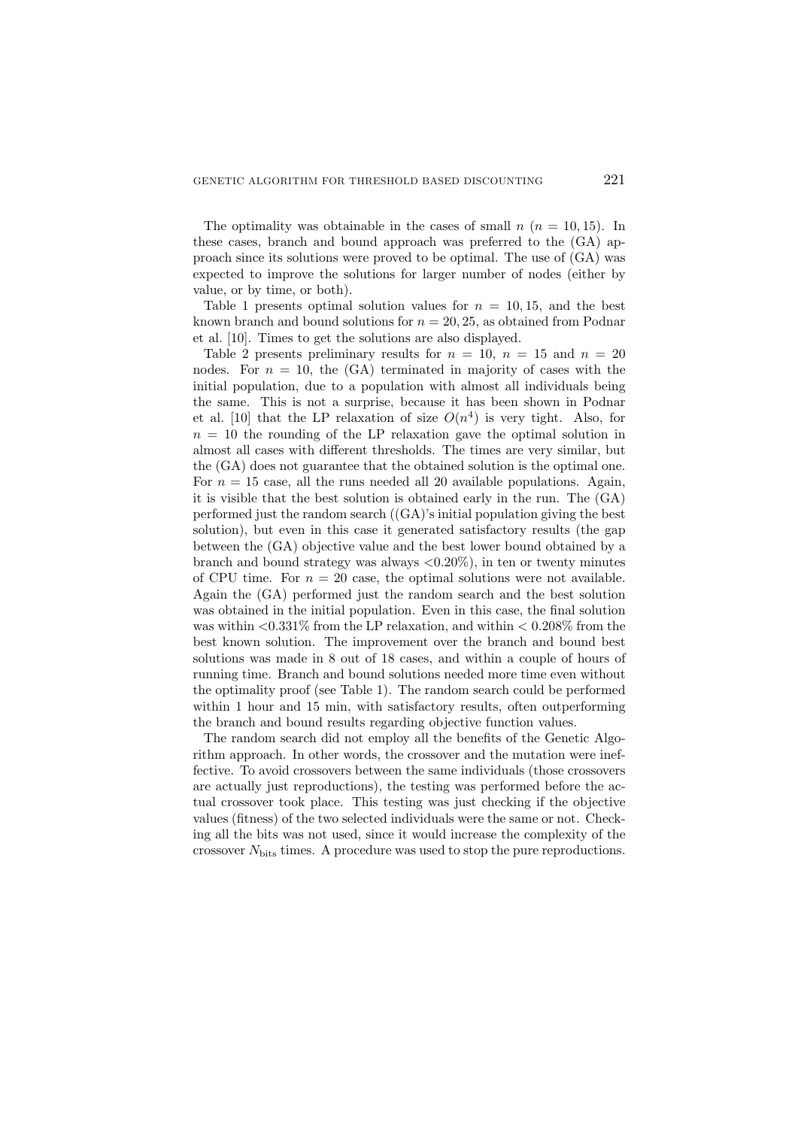The optimality was obtainable in the cases of small  $n (n = 10, 15)$ . In these cases, branch and bound approach was preferred to the (GA) approach since its solutions were proved to be optimal. The use of (GA) was expected to improve the solutions for larger number of nodes (either by value, or by time, or both).

Table 1 presents optimal solution values for  $n = 10, 15$ , and the best known branch and bound solutions for  $n = 20, 25$ , as obtained from Podnar et al. [10]. Times to get the solutions are also displayed.

Table 2 presents preliminary results for  $n = 10$ ,  $n = 15$  and  $n = 20$ nodes. For  $n = 10$ , the (GA) terminated in majority of cases with the initial population, due to a population with almost all individuals being the same. This is not a surprise, because it has been shown in Podnar et al. [10] that the LP relaxation of size  $O(n^4)$  is very tight. Also, for  $n = 10$  the rounding of the LP relaxation gave the optimal solution in almost all cases with different thresholds. The times are very similar, but the (GA) does not guarantee that the obtained solution is the optimal one. For  $n = 15$  case, all the runs needed all 20 available populations. Again, it is visible that the best solution is obtained early in the run. The (GA) performed just the random search ((GA)'s initial population giving the best solution), but even in this case it generated satisfactory results (the gap between the (GA) objective value and the best lower bound obtained by a branch and bound strategy was always  $\langle 0.20\% \rangle$ , in ten or twenty minutes of CPU time. For  $n = 20$  case, the optimal solutions were not available. Again the (GA) performed just the random search and the best solution was obtained in the initial population. Even in this case, the final solution was within  $\langle 0.331\%$  from the LP relaxation, and within  $\langle 0.208\%$  from the best known solution. The improvement over the branch and bound best solutions was made in 8 out of 18 cases, and within a couple of hours of running time. Branch and bound solutions needed more time even without the optimality proof (see Table 1). The random search could be performed within 1 hour and 15 min, with satisfactory results, often outperforming the branch and bound results regarding objective function values.

The random search did not employ all the benefits of the Genetic Algorithm approach. In other words, the crossover and the mutation were ineffective. To avoid crossovers between the same individuals (those crossovers are actually just reproductions), the testing was performed before the actual crossover took place. This testing was just checking if the objective values (fitness) of the two selected individuals were the same or not. Checking all the bits was not used, since it would increase the complexity of the crossover  $N_{\text{bits}}$  times. A procedure was used to stop the pure reproductions.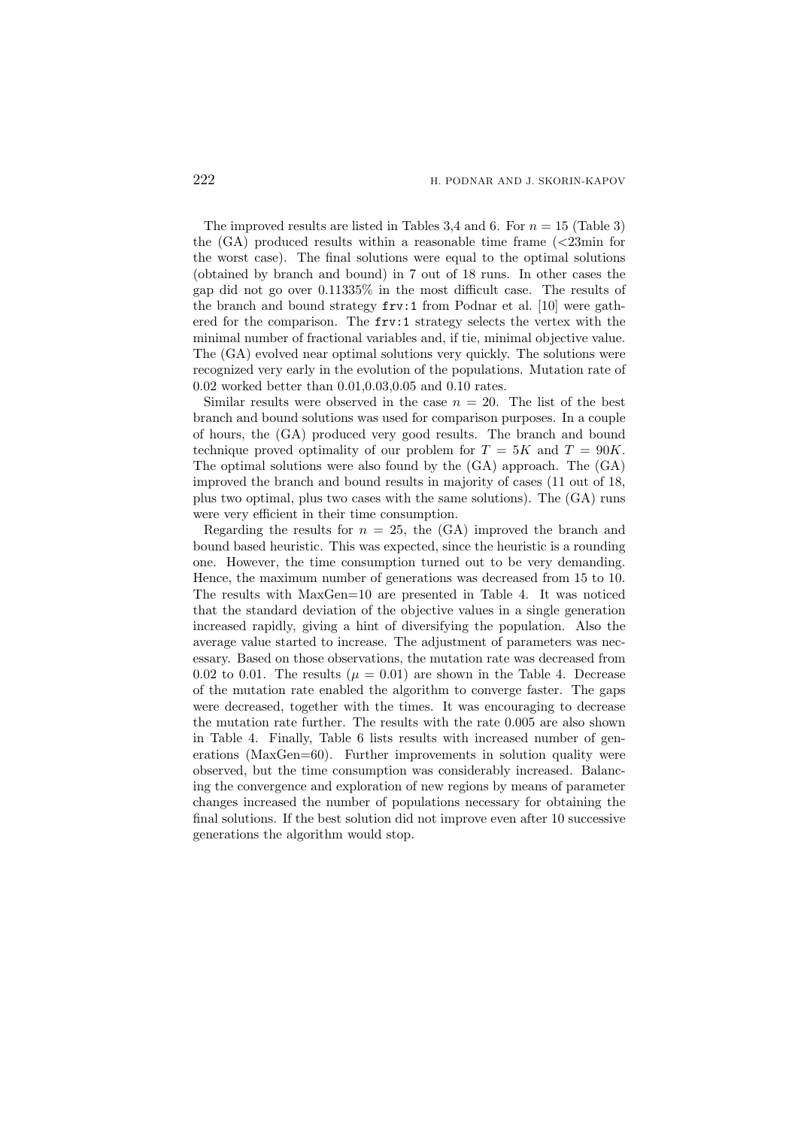The improved results are listed in Tables 3.4 and 6. For  $n = 15$  (Table 3) the  $(GA)$  produced results within a reasonable time frame  $\langle \langle 23 \rangle$  for the worst case). The final solutions were equal to the optimal solutions (obtained by branch and bound) in 7 out of 18 runs. In other cases the gap did not go over 0.11335% in the most difficult case. The results of the branch and bound strategy frv:1 from Podnar et al. [10] were gathered for the comparison. The frv:1 strategy selects the vertex with the minimal number of fractional variables and, if tie, minimal objective value. The (GA) evolved near optimal solutions very quickly. The solutions were recognized very early in the evolution of the populations. Mutation rate of 0.02 worked better than 0.01,0.03,0.05 and 0.10 rates.

Similar results were observed in the case  $n = 20$ . The list of the best branch and bound solutions was used for comparison purposes. In a couple of hours, the (GA) produced very good results. The branch and bound technique proved optimality of our problem for  $T = 5K$  and  $T = 90K$ . The optimal solutions were also found by the (GA) approach. The (GA) improved the branch and bound results in majority of cases (11 out of 18, plus two optimal, plus two cases with the same solutions). The (GA) runs were very efficient in their time consumption.

Regarding the results for  $n = 25$ , the (GA) improved the branch and bound based heuristic. This was expected, since the heuristic is a rounding one. However, the time consumption turned out to be very demanding. Hence, the maximum number of generations was decreased from 15 to 10. The results with MaxGen=10 are presented in Table 4. It was noticed that the standard deviation of the objective values in a single generation increased rapidly, giving a hint of diversifying the population. Also the average value started to increase. The adjustment of parameters was necessary. Based on those observations, the mutation rate was decreased from 0.02 to 0.01. The results ( $\mu = 0.01$ ) are shown in the Table 4. Decrease of the mutation rate enabled the algorithm to converge faster. The gaps were decreased, together with the times. It was encouraging to decrease the mutation rate further. The results with the rate 0.005 are also shown in Table 4. Finally, Table 6 lists results with increased number of generations (MaxGen=60). Further improvements in solution quality were observed, but the time consumption was considerably increased. Balancing the convergence and exploration of new regions by means of parameter changes increased the number of populations necessary for obtaining the final solutions. If the best solution did not improve even after 10 successive generations the algorithm would stop.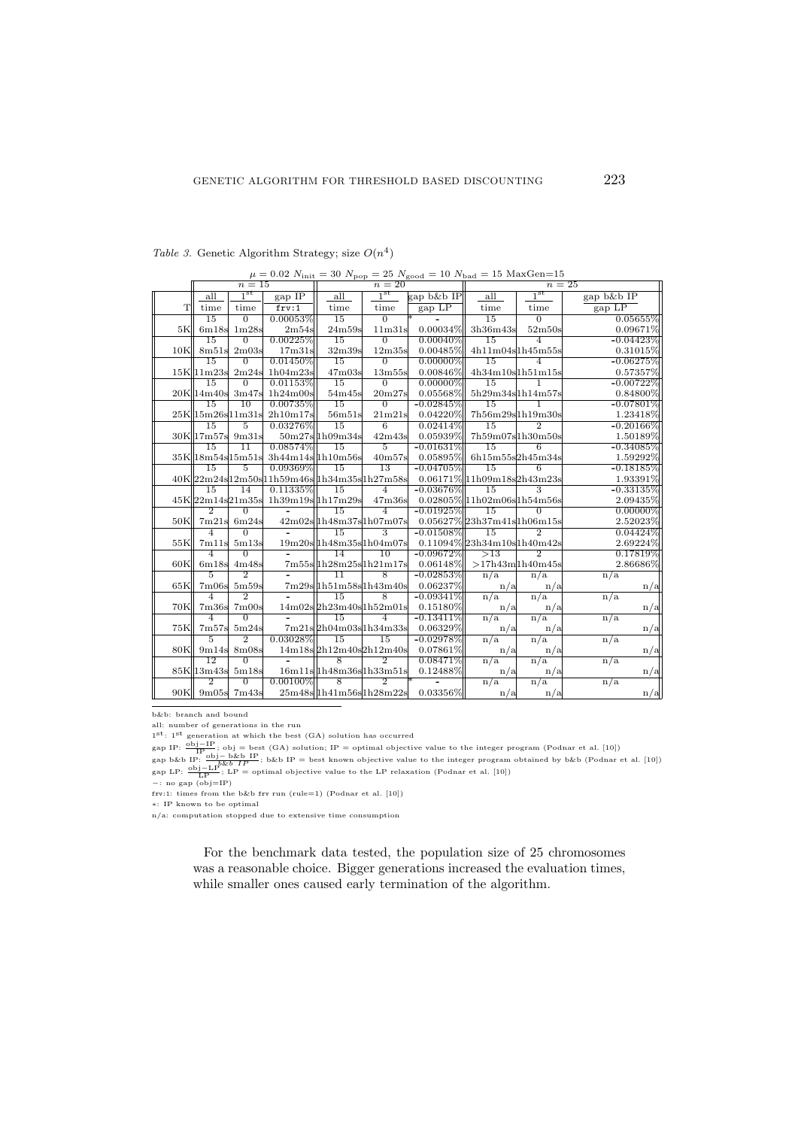|     | $\mu = 0.02$ $N_{\text{init}} = 30$ $N_{\text{pop}} = 25$ $N_{\text{good}} = 10$ $N_{\text{bad}} = 15$ MaxGen=15 |                          |                                               |                 |                           |              |                   |                 |              |
|-----|------------------------------------------------------------------------------------------------------------------|--------------------------|-----------------------------------------------|-----------------|---------------------------|--------------|-------------------|-----------------|--------------|
|     | $n=15$                                                                                                           |                          |                                               |                 | $\overline{n=20}$         |              |                   | $n=25$          |              |
|     | all                                                                                                              | 1 <sup>st</sup>          | gap IP                                        | all             | 1 <sup>st</sup>           | gap b&b IP   | all               | 1 <sup>st</sup> | gap b&b IP   |
| т   | time                                                                                                             | time                     | frv:1                                         | time            | time                      | gap LP       | time              | time            | gap LP       |
|     | 15                                                                                                               | $\overline{0}$           | 0.00053%                                      | 15              | $\overline{0}$            |              | 15                | $\overline{0}$  | $0.05655\%$  |
| 5Κ  | 6m18s                                                                                                            | $1 \text{m} 28 \text{s}$ | 2m54s                                         | 24m59s          | 11 <sub>m31s</sub>        | 0.00034%     | 3h36m43s          | 52m50s          | 0.09671%     |
|     | 15                                                                                                               | $\overline{0}$           | 0.00225%                                      | 15              | $\overline{0}$            | $0.00040\%$  | 15                | $\overline{4}$  | $-0.04423%$  |
| 10K |                                                                                                                  | 8m51s 2m03s              | 17 <sub>m31s</sub>                            | 32m39s          | 12 <sub>m35s</sub>        | 0.00485%     | 4h11m04s1h45m55s  |                 | 0.31015%     |
|     | 15                                                                                                               | $\overline{0}$           | 0.01450%                                      | 15              | $\overline{0}$            | $0.00000\%$  | 15                | $\overline{4}$  | $-0.06275%$  |
|     | $15K$  11m23s  2m24s                                                                                             |                          | 1h04m23s                                      | 47m03s          | 13m55s                    | 0.00846%     | 4h34m10s1h51m15s  |                 | 0.57357%     |
|     | 15                                                                                                               | 0                        | 0.01153%                                      | 15              | $\Omega$                  | $0.00000\%$  | 15                |                 | $-0.00722%$  |
|     | 20K 14m40s 3m47s                                                                                                 |                          | 1h24m00s                                      | 54m45s          | 20m27s                    | 0.05568%     | 5h29m34s1h14m57s  |                 | 0.84800%     |
|     | 15                                                                                                               | 10                       | 0.00735%                                      | $\overline{15}$ | $\overline{0}$            | $-0.02845\%$ | 15                |                 | $-0.07801\%$ |
|     | 25K 15m26s 11m31s                                                                                                |                          | 2h10m17s                                      | 56m51s          | 21m21s                    | 0.04220%     | 7h56m29s1h19m30s  |                 | 1.23418%     |
|     | 15                                                                                                               | 5                        | $0.03276\%$                                   | 15              | $\overline{6}$            | $0.02414\%$  | 15                | $\overline{2}$  | $-0.20166\%$ |
|     | 30K 17m57s 9m31s                                                                                                 |                          |                                               | 50m27s 1h09m34s | 42m43s                    | 0.05939%     | 7h59m07s1h30m50s  |                 | 1.50189%     |
|     | $\overline{15}$                                                                                                  | $\overline{11}$          | 0.08574%                                      | 15              | $\overline{5}$            | $-0.01631\%$ | 15                | 6               | $-0.34085%$  |
|     | 35K 18m54s 15m51s                                                                                                |                          | 3h44m14s 1h10m56s                             |                 | 40m57s                    | 0.05895%     | 6h15m55s2h45m34s  |                 | 1.59292%     |
|     | 15                                                                                                               | 5                        | $0.09369\%$                                   | 15              | 13                        | $-0.04705%$  | 15                | 6               | $-0.18185%$  |
|     |                                                                                                                  |                          | 40K 22m24s 12m50s 11h59m46s 1h34m35s 1h27m58s |                 |                           | 0.06171%     | 11h09m18s2h43m23s |                 | 1.93391%     |
|     | 15                                                                                                               | 14                       | $0.11335\%$                                   | $\overline{15}$ | 4                         | $-0.03676\%$ | 15                | 3               | $-0.33135%$  |
|     | 45K 22m14s 21m35s                                                                                                |                          | 1h39m19s 1h17m29s                             |                 | 47 <sub>m36s</sub>        | 0.02805%     | 11h02m06s1h54m56s |                 | 2.09435%     |
|     | $\mathcal{D}_{\mathcal{L}}$                                                                                      | $\Omega$                 |                                               | 15              | 4                         | $-0.01925%$  | 15                | $\Omega$        | $0.00000\%$  |
| 50K |                                                                                                                  | $7m21s$ 6m24s            |                                               |                 | 42m02s 1h48m37s 1h07m07s  | 0.05627%     | 23h37m41s1h06m15s |                 | 2.52023%     |
|     | 4                                                                                                                | $\overline{0}$           |                                               | 15              | $\overline{\overline{3}}$ | $-0.01508%$  | 15                | $\overline{2}$  | 0.04424%     |
| 55K |                                                                                                                  | $7m11s$ $5m13s$          |                                               |                 | 19m20s 1h48m35s1h04m07s   | $0.11094\%$  | 23h34m10s1h40m42s |                 | 2.69224%     |
|     | $\overline{4}$                                                                                                   | $\Omega$                 |                                               | 14              | 10                        | $-0.09672\%$ | >13               | $\overline{2}$  | 0.17819%     |
| 60K |                                                                                                                  | $6m18s$ 4m48s            |                                               |                 | 7m55s 1h28m25s1h21m17s    | 0.06148%     |                   | >17h43m1h40m45s | 2.86686%     |
|     | 5                                                                                                                | $\overline{2}$           |                                               | $\overline{11}$ | 8                         | $-0.02853%$  | n/a               | n/a             | n/a          |
| 65K |                                                                                                                  | $7m06s$ 5m59s            |                                               |                 | 7m29s 1h51m58s 1h43m40s   | 0.06237%     | n/a               | n/a             | n/a          |
|     | 4                                                                                                                | $\overline{2}$           |                                               | 15              | 8                         | $-0.09341%$  | n/a               | n/a             | n/a          |
| 70K | 7 <sub>m36s</sub>                                                                                                | $7 \text{m}00 \text{s}$  |                                               |                 | 14m02s 2h23m40s 1h52m01s  | 0.15180%     | n/a               | n/a             | n/a          |
|     | 4                                                                                                                | $\Omega$                 |                                               | $\overline{15}$ | 4                         | $-0.13411\%$ | n/a               | n/a             | n/a          |
| 75K | 7 <sub>m57s</sub>                                                                                                | 5m24s                    |                                               |                 | 7m21s 2h04m03s 1h34m33s   | 0.06329%     | n/a               | n/a             | n/a          |
|     | 5                                                                                                                | 2                        | $0.03028\%$                                   | 15              | 15                        | $-0.02978\%$ | n/a               | n/a             | n/a          |
| 80K |                                                                                                                  | $9m14s$ 8m08s            |                                               |                 | 14m18s 2h12m40s 2h12m40s  | 0.07861\%    | n/a               | n/a             | n/a          |
|     | 12                                                                                                               | $\Omega$                 | $\blacksquare$                                | $\overline{8}$  | 2                         | 0.08471%     | n/a               | n/a             | n/a          |
|     | 85K 13m43s 5m18s                                                                                                 |                          |                                               |                 | 16m11s 1h48m36s 1h33m51s  | 0.12488%     | n/a               | n/a             | n/a          |
|     | $\overline{2}$                                                                                                   | $\overline{0}$           | $0.00100\%$                                   | $\overline{8}$  | $\overline{2}$            |              | n/a               | n/a             | n/a          |
| 90K |                                                                                                                  | $9m05s$ 7m43s            |                                               |                 | 25m48s 1h41m56s 1h28m22s  | 0.03356%     | n/a               | n/a             | n/a          |

#### Table 3. Genetic Algorithm Strategy; size  $O(n^4)$

b&b: branch and bound

all: number of generations in the run<br>
1<sup>st</sup>: 1<sup>st</sup> generation at which the best (GA) solution has occurred<br>
gap IP:  $\frac{obj - IP}{IP}$ ; obj = best (GA) solution; IP = optimal objective value to the integer program (Podnar et al

−: no gap (obj=IP)

frv:1: times from the b&b frv run (rule=1) (Podnar et al. [10])

∗: IP known to be optimal

n/a: computation stopped due to extensive time consumption

For the benchmark data tested, the population size of 25 chromosomes was a reasonable choice. Bigger generations increased the evaluation times, while smaller ones caused early termination of the algorithm.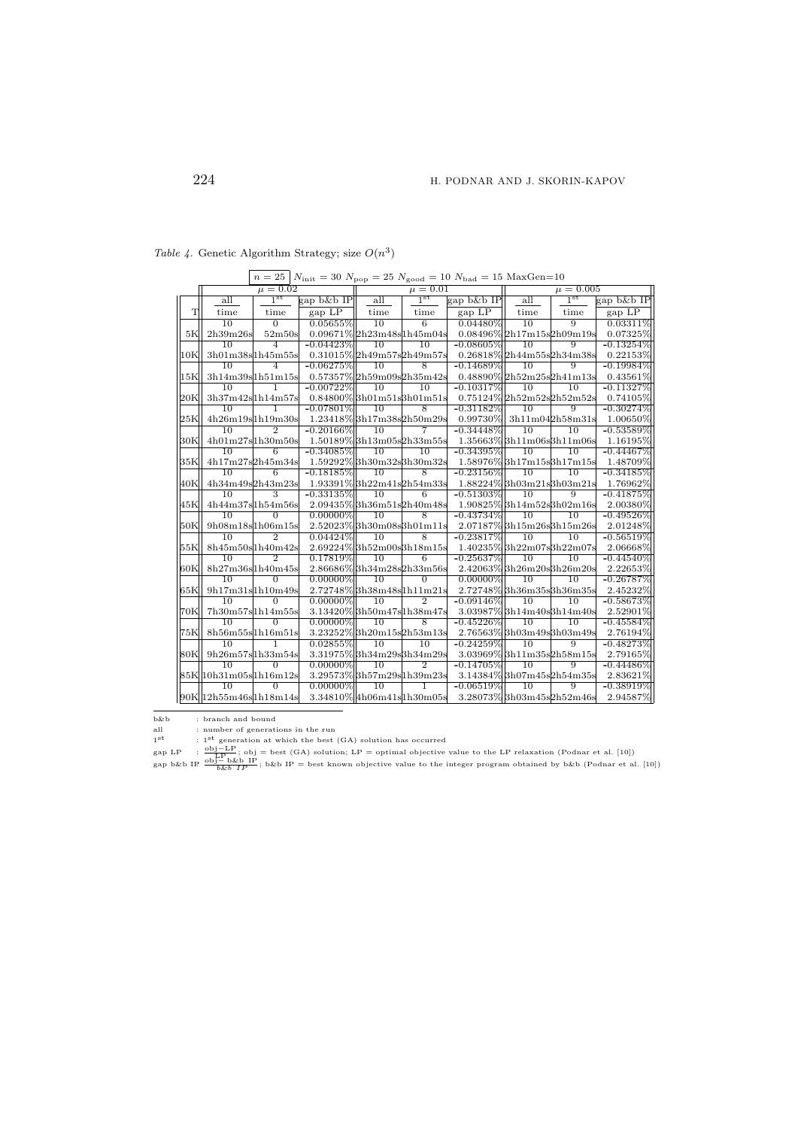|     | $N_{\text{init}} = 30 N_{\text{pop}} = 25 N_{\text{good}} = 10 N_{\text{bad}} = 15 \text{ MaxGen} = 10$<br>$n=25$ |                         |              |                                |                         |              |                                       |                 |              |
|-----|-------------------------------------------------------------------------------------------------------------------|-------------------------|--------------|--------------------------------|-------------------------|--------------|---------------------------------------|-----------------|--------------|
|     | $\mu = 0.02$                                                                                                      |                         |              |                                | $\mu = 0.01$            |              |                                       | $\mu = 0.005$   |              |
|     | all                                                                                                               | $1^{\rm st}$            | gap b&b IP   | all                            | $1^{\rm st}$            | gap b&b IP   | all                                   | $1^{\rm st}$    | gap b&b IP   |
| T   | time                                                                                                              | time                    | gap LP       | time                           | time                    | gap LP       | time                                  | time            | gap LP       |
|     | 10                                                                                                                | $\Omega$                | $0.05655\%$  | 10                             | 6                       | $0.04480\%$  | 10                                    | 9               | 0.03311%     |
| 5K  | 2h39m26s                                                                                                          | 52m50s                  |              | $0.09671\%$  2h23m48s 1h45m04s |                         |              | $0.08496\%$  2h17m15s2h09m19s         |                 | 0.07325%     |
|     | 10                                                                                                                | 4                       | $-0.04423%$  | $\overline{10}$                | $\overline{10}$         | $-0.08605%$  | $\overline{10}$                       | $\overline{9}$  | $-0.13254%$  |
| 10K |                                                                                                                   | 3h01m38s1h45m55s        |              | 0.31015% 2h49m57s2h49m57s      |                         |              | $0.26818\%$  2h44m55s2h34m38s         |                 | 0.22153%     |
|     | 10                                                                                                                | $\overline{4}$          | $-0.06275%$  | 10                             | 8                       | $-0.14689\%$ | 10                                    | Q               | $-0.19984\%$ |
| 15K |                                                                                                                   | 3h14m39s1h51m15s        |              | $0.57357\%$  2h59m09s2h35m42s  |                         |              | $0.48890\%$  2h52m25s 2h41m13s        |                 | 0.43561%     |
|     | 10                                                                                                                |                         | $-0.00722%$  | 10                             | 10                      | $-0.10317\%$ | 10                                    | 10              | $-0.11327%$  |
| 20K |                                                                                                                   | 3h37m42s1h14m57s        |              | 0.84800% 3h01m51s3h01m51s      |                         |              | $0.75124\%$  2h52m52s 2h52m52s        |                 | 0.74105%     |
|     | 10                                                                                                                | $\overline{1}$          | $-0.07801\%$ | 10                             | $\overline{8}$          | $-0.31182%$  | 10                                    | 9               | $-0.30274%$  |
| 25K |                                                                                                                   | 4h26m19s1h19m30s        |              | 1.23418% 3h17m38s2h50m29s      |                         | 0.99730%     |                                       | 3h11m042h58m31s | 1.00650%     |
|     | 10                                                                                                                | $\overline{2}$          | $-0.20166%$  | 10                             | 7                       | $-0.34448%$  | 10                                    | 10              | $-0.53589%$  |
| 30K |                                                                                                                   | 4h01m27s1h30m50s        |              | 1.50189% 3h13m05s2h33m55s      |                         |              | 1.35663% 3h11m06s 3h11m06s            |                 | 1.16195%     |
|     | 10                                                                                                                | 6                       | $-0.34085\%$ | 10                             | 10                      | $-0.34395\%$ | 10                                    | 10              | $-0.44467\%$ |
| 35K |                                                                                                                   | 4h17m27s2h45m34s        |              | 1.59292% 3h30m32s3h30m32s      |                         |              | $1.58976\%$   $3h17m15s$ $3h17m15s$   |                 | 1.48709%     |
|     | 10                                                                                                                | 6                       | $-0.18185%$  | 10                             | 8                       | $-0.23156\%$ | 10                                    | 10              | $-0.34185%$  |
| 40K |                                                                                                                   | 4h34m49s2h43m23s        |              | 1.93391% 3h22m41s 2h54m33s     |                         |              | 1.88224% 3h03m21s3h03m21s             |                 | 1.76962%     |
|     | 10                                                                                                                | $\overline{\mathbf{3}}$ | $-0.33135%$  | 10                             | 6                       | $-0.51303%$  | 10                                    | Q               | $-0.41875%$  |
| 45K |                                                                                                                   | 4h44m37s1h54m56s        |              | 2.09435% 3h36m51s2h40m48s      |                         |              | 1.90825% 3h14m52s3h02m16s             |                 | 2.00380%     |
|     | 10                                                                                                                | 0                       | $0.00000\%$  | $\overline{10}$                | 8                       | $-0.43734\%$ | 10                                    | 10              | $-0.49526\%$ |
| 50K |                                                                                                                   | 9h08m18s1h06m15s        |              | 2.52023% 3h30m08s 3h01m11s     |                         |              | 2.07187% 3h15m26s 3h15m26s            |                 | 2.01248%     |
|     | 10                                                                                                                | 2                       | 0.04424%     | $\overline{10}$                | $\overline{\mathsf{x}}$ | $-0.23817\%$ | $\overline{10}$                       | 10              | $-0.56519%$  |
| 55K |                                                                                                                   | 8h45m50s1h40m42s        |              | 2.69224% 3h52m00s3h18m15s      |                         |              | $1.40235\%$   $3h22m07s$   $3h22m07s$ |                 | 2.06668%     |
|     | 10                                                                                                                | $\overline{2}$          | 0.17819%     | 10                             | 6                       | $-0.25637\%$ | 10                                    | 10              | $-0.44540\%$ |
| 60K |                                                                                                                   | 8h27m36s1h40m45s        |              | 2.86686% 3h34m28s2h33m56s      |                         |              | $2.42063\%$  3h26m20s 3h26m20s        |                 | 2.22653%     |
|     | $\overline{10}$                                                                                                   | $\overline{0}$          | $0.00000\%$  | $\overline{10}$                | $\overline{0}$          | $0.00000\%$  | $\overline{10}$                       | $\overline{10}$ | $-0.26787\%$ |
| 65K |                                                                                                                   | 9h17m31s1h10m49s        |              | 2.72748% 3h38m48s 1h11m21s     |                         |              | 2.72748% 3h36m35s3h36m35s             |                 | 2.45232%     |
|     | 10                                                                                                                | $\Omega$                | $0.00000\%$  | 10                             | 2                       | $-0.09146\%$ | 10                                    | 10              | $-0.58673%$  |
| 70K |                                                                                                                   | 7h30m57s1h14m55s        |              | 3.13420% 3h50m47s 1h38m47s     |                         |              | 3.03987% 3h14m40s 3h14m40s            |                 | 2.52901%     |
|     | 10                                                                                                                | $\Omega$                | $0.00000\%$  | $\overline{10}$                | $\overline{8}$          | $-0.45226\%$ | $\overline{10}$                       | 10              | $-0.45584\%$ |
| 75K |                                                                                                                   | 8h56m55s1h16m51s        |              | 3.23252% 3h20m15s2h53m13s      |                         |              | 2.76563% 3h03m49s3h03m49s             |                 | 2.76194%     |
|     | 10                                                                                                                |                         | 0.02855%     | 10                             | 10                      | $-0.24259%$  | 10                                    | 9               | $-0.48273%$  |
| 80K |                                                                                                                   | 9h26m57s1h33m54s        |              | 3.31975% 3h34m29s 3h34m29s     |                         |              | 3.03969% 3h11m35s2h58m15s             |                 | 2.79165%     |
|     | 10                                                                                                                | $\Omega$                | $0.00000\%$  | 10                             | 2                       | $-0.14705%$  | 10                                    | $\overline{9}$  | $-0.44486\%$ |
|     | 85K 10h31m05s 1h16m12s                                                                                            |                         |              | 3.29573% 3h57m29s 1h39m23s     |                         |              | 3.14384% Bh07m45s2h54m35s             |                 | 2.83621%     |
|     | 10                                                                                                                | 0                       | $0.00000\%$  | 10                             |                         | $-0.06519\%$ | 10                                    | 9               | $-0.38919%$  |
|     | 90K 12h55m46s 1h18m14s                                                                                            |                         |              | 3.34810% 4h06m41s 1h30m05s     |                         |              | 3.28073% 3h03m45s2h52m46s             |                 | 2.94587%     |

Table 4. Genetic Algorithm Strategy; size  $O(n^3)$ 

b&b : branch and bound<br>all : number of generati

: number of generations in the run

1<sup>st</sup> : 1<sup>st</sup> generation at which the best (GA) solution has occurred<br>
gap LP :  $\frac{obj-LP}{obj-LP}$ ; obj = best (GA) solution; LP = optimal objective value to the LP relaxation (Podnar et al. [10])<br>
gap b&b IP  $\frac{obj-LB}{b&bIP}$ ; b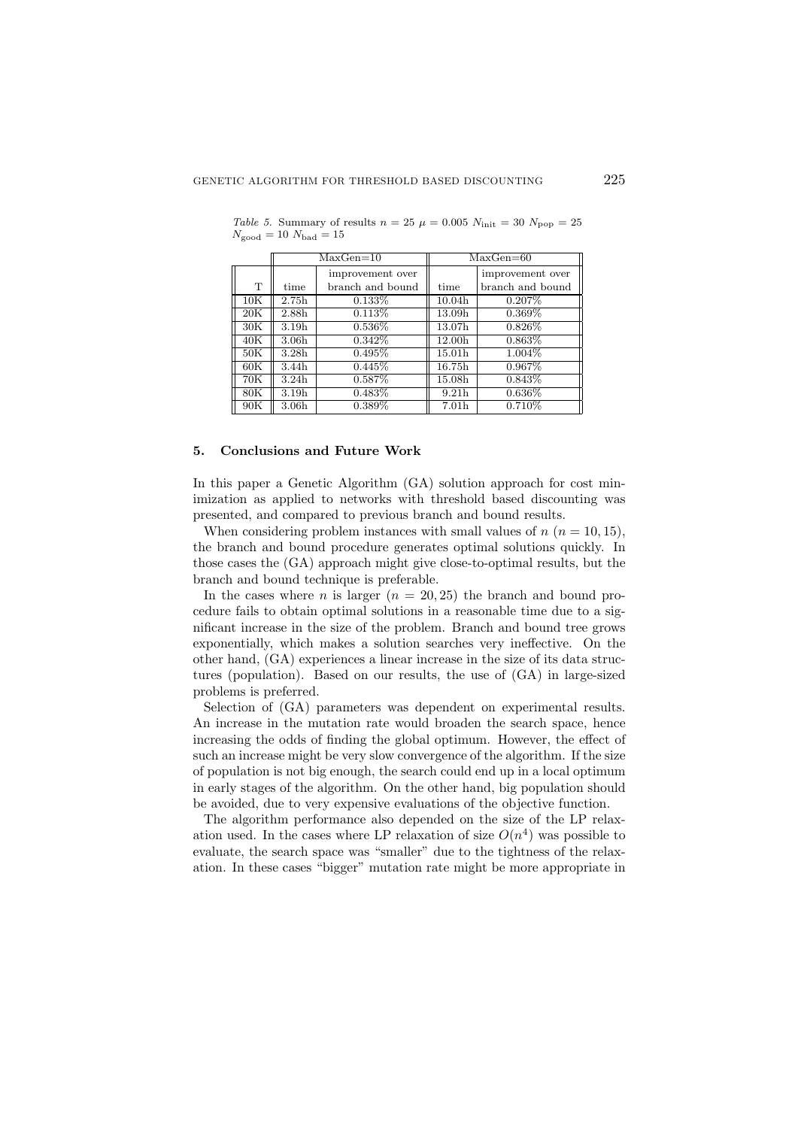|     |                   | $MaxGen=10$      |                   | $MaxGen = 60$    |
|-----|-------------------|------------------|-------------------|------------------|
|     | improvement over  |                  |                   | improvement over |
| T   | time              | branch and bound | time              | branch and bound |
| 10K | 2.75 <sub>h</sub> | $0.133\%$        | 10.04h            | $0.207\%$        |
| 20K | 2.88h             | 0.113\%          | 13.09h            | $0.369\%$        |
| 30K | 3.19 <sub>h</sub> | $0.536\%$        | 13.07h            | $0.826\%$        |
| 40K | 3.06 <sub>h</sub> | $0.342\%$        | 12.00h            | $0.863\%$        |
| 50K | 3.28 <sub>h</sub> | $0.495\%$        | 15.01h            | 1.004\%          |
| 60K | 3.44h             | $0.445\%$        | 16.75h            | $0.967\%$        |
| 70K | 3.24 <sub>h</sub> | $0.587\%$        | 15.08h            | $0.843\%$        |
| 80K | 3.19 <sub>h</sub> | 0.483\%          | 9.21 <sub>h</sub> | $0.636\%$        |
| 90K | 3.06 <sub>h</sub> | 0.389%           | 7.01 <sub>h</sub> | $0.710\%$        |

Table 5. Summary of results  $n = 25 \mu = 0.005 N_{init} = 30 N_{pop} = 25$  $N_{\text{good}} = 10 N_{\text{bad}} = 15$ 

#### 5. Conclusions and Future Work

In this paper a Genetic Algorithm (GA) solution approach for cost minimization as applied to networks with threshold based discounting was presented, and compared to previous branch and bound results.

When considering problem instances with small values of  $n (n = 10, 15)$ , the branch and bound procedure generates optimal solutions quickly. In those cases the (GA) approach might give close-to-optimal results, but the branch and bound technique is preferable.

In the cases where n is larger  $(n = 20, 25)$  the branch and bound procedure fails to obtain optimal solutions in a reasonable time due to a significant increase in the size of the problem. Branch and bound tree grows exponentially, which makes a solution searches very ineffective. On the other hand, (GA) experiences a linear increase in the size of its data structures (population). Based on our results, the use of (GA) in large-sized problems is preferred.

Selection of (GA) parameters was dependent on experimental results. An increase in the mutation rate would broaden the search space, hence increasing the odds of finding the global optimum. However, the effect of such an increase might be very slow convergence of the algorithm. If the size of population is not big enough, the search could end up in a local optimum in early stages of the algorithm. On the other hand, big population should be avoided, due to very expensive evaluations of the objective function.

The algorithm performance also depended on the size of the LP relaxation used. In the cases where LP relaxation of size  $O(n^4)$  was possible to evaluate, the search space was "smaller" due to the tightness of the relaxation. In these cases "bigger" mutation rate might be more appropriate in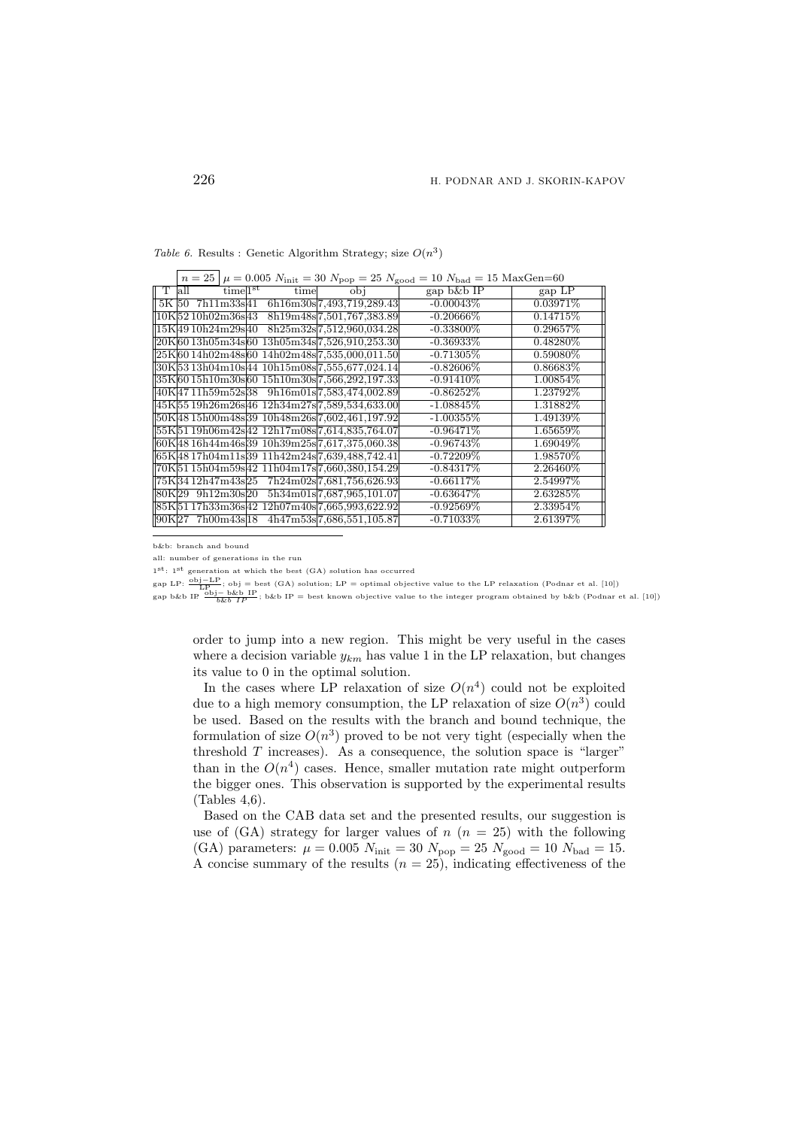|        |                     | $n = 25$ $\mu = 0.005$ $N_{\text{init}} = 30$ $N_{\text{pop}} = 25$ $N_{\text{good}} = 10$ $N_{\text{bad}} = 15$ MaxGen=60 |      |                                                   |              |             |
|--------|---------------------|----------------------------------------------------------------------------------------------------------------------------|------|---------------------------------------------------|--------------|-------------|
| T      | all                 | $time[1^{st}]$                                                                                                             | time | obi                                               | gap b&b IP   | gap LP      |
|        | 5K 50 7h11m33s41    |                                                                                                                            |      | 6h16m30s 7,493,719,289.43                         | $-0.00043%$  | $0.03971\%$ |
|        | 10K 52 10h02m36s 43 |                                                                                                                            |      | 8h19m48s 7,501,767,383.89                         | $-0.20666\%$ | 0.14715\%   |
|        |                     |                                                                                                                            |      | 15K 49 10h 24m 29s 40 8h 25m 32s 7,512,960,034.28 | $-0.33800\%$ | $0.29657\%$ |
|        |                     |                                                                                                                            |      | 20K6013h05m34s6013h05m34s7,526,910,253.30         | $-0.36933\%$ | 0.48280\%   |
|        |                     |                                                                                                                            |      | 25K6014h02m48s6014h02m48s7,535,000,011.50         | $-0.71305%$  | $0.59080\%$ |
|        |                     |                                                                                                                            |      | 30K 53 13h04m10s 44 10h15m08s 7,555,677,024.14    | $-0.82606\%$ | 0.86683\%   |
|        |                     |                                                                                                                            |      | 35K6015h10m30s6015h10m30s7,566,292,197.33         | $-0.91410\%$ | 1.00854\%   |
|        |                     |                                                                                                                            |      | 40K 4711h59m52s 38 9h16m01s 7,583,474,002.89      | $-0.86252%$  | 1.23792%    |
|        |                     |                                                                                                                            |      | 45K 55 19h26m26s 46 12h34m27s 7,589,534,633.00    | $-1.08845\%$ | 1.31882\%   |
|        |                     |                                                                                                                            |      | 50K 48 15h00m 48s 39 10h 48m 26s 7,602,461,197.92 | $-1.00355\%$ | 1.49139\%   |
|        |                     |                                                                                                                            |      | 55K 51 19h06m42s 42 12h17m08s 7,614,835,764.07    | $-0.96471%$  | 1.65659%    |
|        |                     |                                                                                                                            |      | 60K4816h44m46s3910h39m25s7,617,375,060.38         | $-0.96743%$  | 1.69049%    |
|        |                     |                                                                                                                            |      | 65K 48 17h04m11s 39 11h42m24s 7,639,488,742.41    | $-0.72209%$  | 1.98570\%   |
|        |                     |                                                                                                                            |      | 70K5115h04m59s4211h04m17s7,660,380,154.29         | $-0.84317\%$ | 2.26460\%   |
|        |                     |                                                                                                                            |      | 75K 34 12h47m43s 25 7h24m02s 7,681,756,626.93     | $-0.66117%$  | 2.54997%    |
| 80K 29 |                     |                                                                                                                            |      | 9h12m30s20 5h34m01s7,687,965,101.07               | $-0.63647\%$ | 2.63285\%   |
|        |                     |                                                                                                                            |      | 85K 51 17h33m36s 42 12h07m40s 7,665,993,622.92    | $-0.92569\%$ | 2.33954\%   |
| 90K 27 |                     | $7h00m43s$ <sup>18</sup>                                                                                                   |      | 4h47m53s 7,686,551,105.87                         | $-0.71033\%$ | 2.61397\%   |

Table 6. Results : Genetic Algorithm Strategy; size  $O(n^3)$ 

b&b: branch and bound

all: number of generations in the run

1 st: 1st generation at which the best (GA) solution has occurred

gap LP:  $\frac{\text{obj}-\text{LP}}{\text{LP}}$ ; obj = best (GA) solution; LP = optimal objective value to the LP relaxation (Podnar et al. [10])

gap b&b IP $\frac{\text{obj}-b\&b \text{ IP}}{b\&b \text{ IP}}$ ; b&b IP = best known objective value to the integer program obtained by b&b (Podnar et al. [10])

order to jump into a new region. This might be very useful in the cases where a decision variable  $y_{km}$  has value 1 in the LP relaxation, but changes its value to 0 in the optimal solution.

In the cases where LP relaxation of size  $O(n^4)$  could not be exploited due to a high memory consumption, the LP relaxation of size  $O(n^3)$  could be used. Based on the results with the branch and bound technique, the formulation of size  $O(n^3)$  proved to be not very tight (especially when the threshold  $T$  increases). As a consequence, the solution space is "larger" than in the  $O(n^4)$  cases. Hence, smaller mutation rate might outperform the bigger ones. This observation is supported by the experimental results (Tables 4,6).

Based on the CAB data set and the presented results, our suggestion is use of  $(GA)$  strategy for larger values of  $n$   $(n = 25)$  with the following (GA) parameters:  $\mu = 0.005$   $N_{\text{init}} = 30$   $N_{\text{pop}} = 25$   $N_{\text{good}} = 10$   $N_{\text{bad}} = 15$ . A concise summary of the results  $(n = 25)$ , indicating effectiveness of the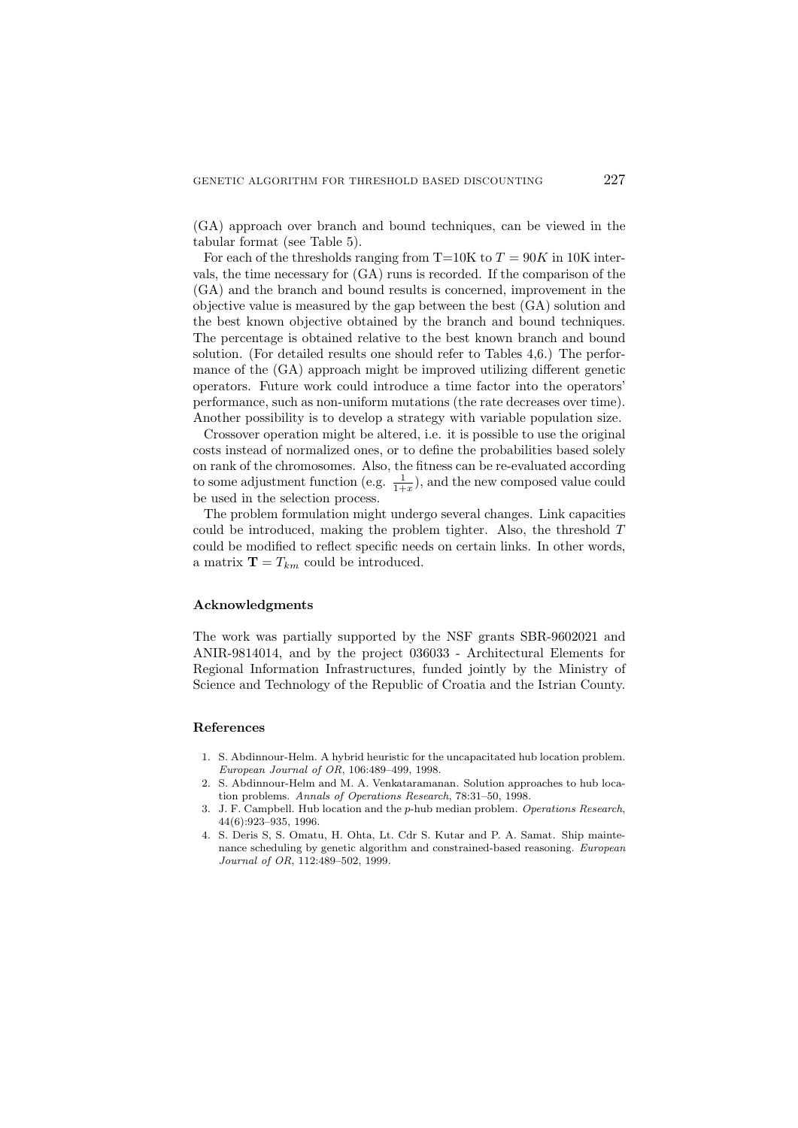(GA) approach over branch and bound techniques, can be viewed in the tabular format (see Table 5).

For each of the thresholds ranging from  $T=10K$  to  $T=90K$  in 10K intervals, the time necessary for (GA) runs is recorded. If the comparison of the (GA) and the branch and bound results is concerned, improvement in the objective value is measured by the gap between the best (GA) solution and the best known objective obtained by the branch and bound techniques. The percentage is obtained relative to the best known branch and bound solution. (For detailed results one should refer to Tables 4,6.) The performance of the (GA) approach might be improved utilizing different genetic operators. Future work could introduce a time factor into the operators' performance, such as non-uniform mutations (the rate decreases over time). Another possibility is to develop a strategy with variable population size.

Crossover operation might be altered, i.e. it is possible to use the original costs instead of normalized ones, or to define the probabilities based solely on rank of the chromosomes. Also, the fitness can be re-evaluated according to some adjustment function (e.g.  $\frac{1}{1+x}$ ), and the new composed value could be used in the selection process.

The problem formulation might undergo several changes. Link capacities could be introduced, making the problem tighter. Also, the threshold T could be modified to reflect specific needs on certain links. In other words, a matrix  $\mathbf{T} = T_{km}$  could be introduced.

#### Acknowledgments

The work was partially supported by the NSF grants SBR-9602021 and ANIR-9814014, and by the project 036033 - Architectural Elements for Regional Information Infrastructures, funded jointly by the Ministry of Science and Technology of the Republic of Croatia and the Istrian County.

## References

- 1. S. Abdinnour-Helm. A hybrid heuristic for the uncapacitated hub location problem. European Journal of OR, 106:489–499, 1998.
- 2. S. Abdinnour-Helm and M. A. Venkataramanan. Solution approaches to hub location problems. Annals of Operations Research, 78:31–50, 1998.
- 3. J. F. Campbell. Hub location and the p-hub median problem. Operations Research, 44(6):923–935, 1996.
- 4. S. Deris S, S. Omatu, H. Ohta, Lt. Cdr S. Kutar and P. A. Samat. Ship maintenance scheduling by genetic algorithm and constrained-based reasoning. European Journal of OR, 112:489–502, 1999.